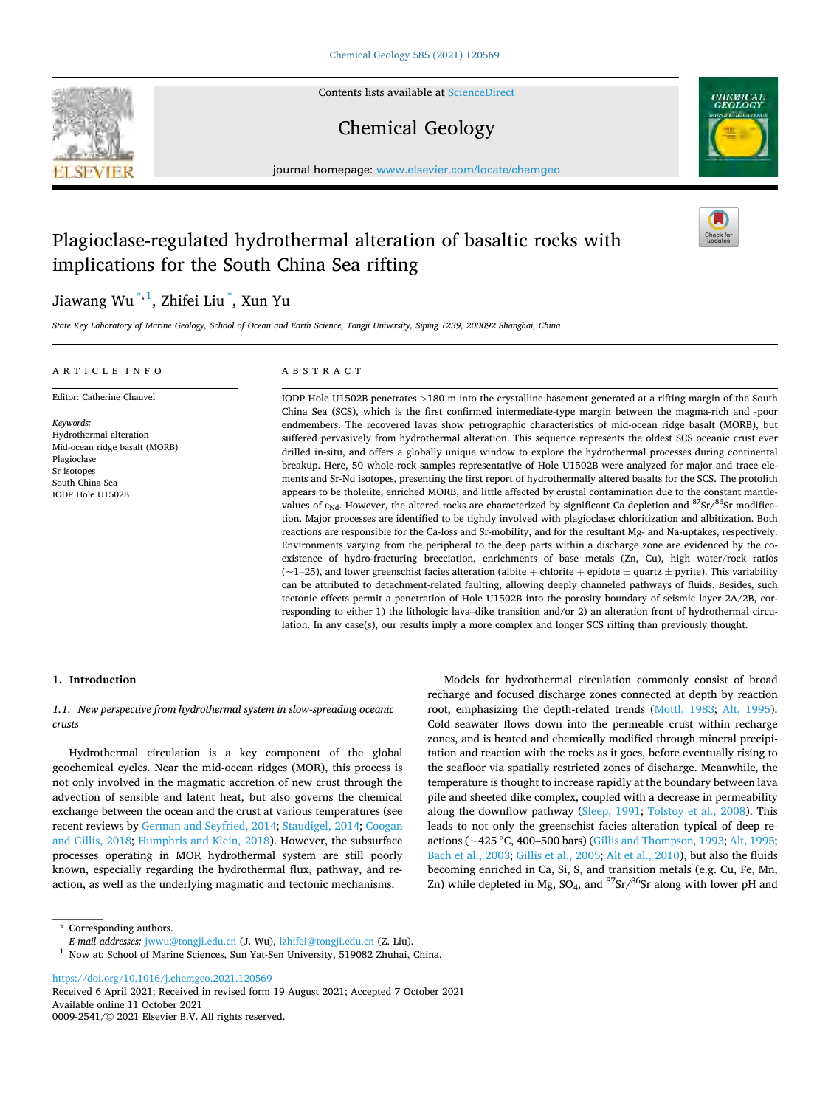

Contents lists available at [ScienceDirect](www.sciencedirect.com/science/journal/00092541)

# Chemical Geology



journal homepage: [www.elsevier.com/locate/chemgeo](https://www.elsevier.com/locate/chemgeo) 

# Plagioclase-regulated hydrothermal alteration of basaltic rocks with implications for the South China Sea rifting

# Jiawang Wu  $^{\ast,1}$ , Zhifei Liu  $\degree$ , Xun Yu

*State Key Laboratory of Marine Geology, School of Ocean and Earth Science, Tongji University, Siping 1239, 200092 Shanghai, China* 

# ARTICLE INFO Editor: Catherine Chauvel

Hydrothermal alteration Mid-ocean ridge basalt (MORB)

*Keywords:* 

Plagioclase Sr isotopes South China Sea IODP Hole U1502B

## ABSTRACT

IODP Hole U1502B penetrates *>*180 m into the crystalline basement generated at a rifting margin of the South China Sea (SCS), which is the first confirmed intermediate-type margin between the magma-rich and -poor endmembers. The recovered lavas show petrographic characteristics of mid-ocean ridge basalt (MORB), but suffered pervasively from hydrothermal alteration. This sequence represents the oldest SCS oceanic crust ever drilled in-situ, and offers a globally unique window to explore the hydrothermal processes during continental breakup. Here, 50 whole-rock samples representative of Hole U1502B were analyzed for major and trace elements and Sr-Nd isotopes, presenting the first report of hydrothermally altered basalts for the SCS. The protolith appears to be tholeiite, enriched MORB, and little affected by crustal contamination due to the constant mantlevalues of  $\varepsilon_{Nd}$ . However, the altered rocks are characterized by significant Ca depletion and  ${}^{87}Sr/{}^{86}Sr$  modification. Major processes are identified to be tightly involved with plagioclase: chloritization and albitization. Both reactions are responsible for the Ca-loss and Sr-mobility, and for the resultant Mg- and Na-uptakes, respectively. Environments varying from the peripheral to the deep parts within a discharge zone are evidenced by the coexistence of hydro-fracturing brecciation, enrichments of base metals (Zn, Cu), high water/rock ratios  $(-1-25)$ , and lower greenschist facies alteration (albite + chlorite + epidote  $\pm$  quartz  $\pm$  pyrite). This variability can be attributed to detachment-related faulting, allowing deeply channeled pathways of fluids. Besides, such tectonic effects permit a penetration of Hole U1502B into the porosity boundary of seismic layer 2A/2B, corresponding to either 1) the lithologic lava–dike transition and/or 2) an alteration front of hydrothermal circulation. In any case(s), our results imply a more complex and longer SCS rifting than previously thought.

# **1. Introduction**

# *1.1. New perspective from hydrothermal system in slow-spreading oceanic crusts*

Hydrothermal circulation is a key component of the global geochemical cycles. Near the mid-ocean ridges (MOR), this process is not only involved in the magmatic accretion of new crust through the advection of sensible and latent heat, but also governs the chemical exchange between the ocean and the crust at various temperatures (see recent reviews by [German and Seyfried, 2014](#page-17-0); [Staudigel, 2014;](#page-18-0) [Coogan](#page-17-0)  [and Gillis, 2018](#page-17-0); [Humphris and Klein, 2018](#page-18-0)). However, the subsurface processes operating in MOR hydrothermal system are still poorly known, especially regarding the hydrothermal flux, pathway, and reaction, as well as the underlying magmatic and tectonic mechanisms.

Models for hydrothermal circulation commonly consist of broad recharge and focused discharge zones connected at depth by reaction root, emphasizing the depth-related trends [\(Mottl, 1983](#page-18-0); [Alt, 1995](#page-16-0)). Cold seawater flows down into the permeable crust within recharge zones, and is heated and chemically modified through mineral precipitation and reaction with the rocks as it goes, before eventually rising to the seafloor via spatially restricted zones of discharge. Meanwhile, the temperature is thought to increase rapidly at the boundary between lava pile and sheeted dike complex, coupled with a decrease in permeability along the downflow pathway [\(Sleep, 1991](#page-18-0); [Tolstoy et al., 2008\)](#page-19-0). This leads to not only the greenschist facies alteration typical of deep reactions (~425 ◦C, 400–500 bars) [\(Gillis and Thompson, 1993](#page-17-0); [Alt, 1995](#page-16-0); [Bach et al., 2003; Gillis et al., 2005](#page-17-0); [Alt et al., 2010](#page-17-0)), but also the fluids becoming enriched in Ca, Si, S, and transition metals (e.g. Cu, Fe, Mn, Zn) while depleted in Mg, SO<sub>4</sub>, and  ${}^{87}Sr/{}^{86}Sr$  along with lower pH and

\* Corresponding authors.<br>
E-mail addresses: jwwu@tongji.edu.cn (J. Wu), lzhifei@tongji.edu.cn (Z. Liu).

<sup>1</sup> Now at: School of Marine Sciences, Sun Yat-Sen University, 519082 Zhuhai, China.

<https://doi.org/10.1016/j.chemgeo.2021.120569>

Available online 11 October 2021 0009-2541/© 2021 Elsevier B.V. All rights reserved. Received 6 April 2021; Received in revised form 19 August 2021; Accepted 7 October 2021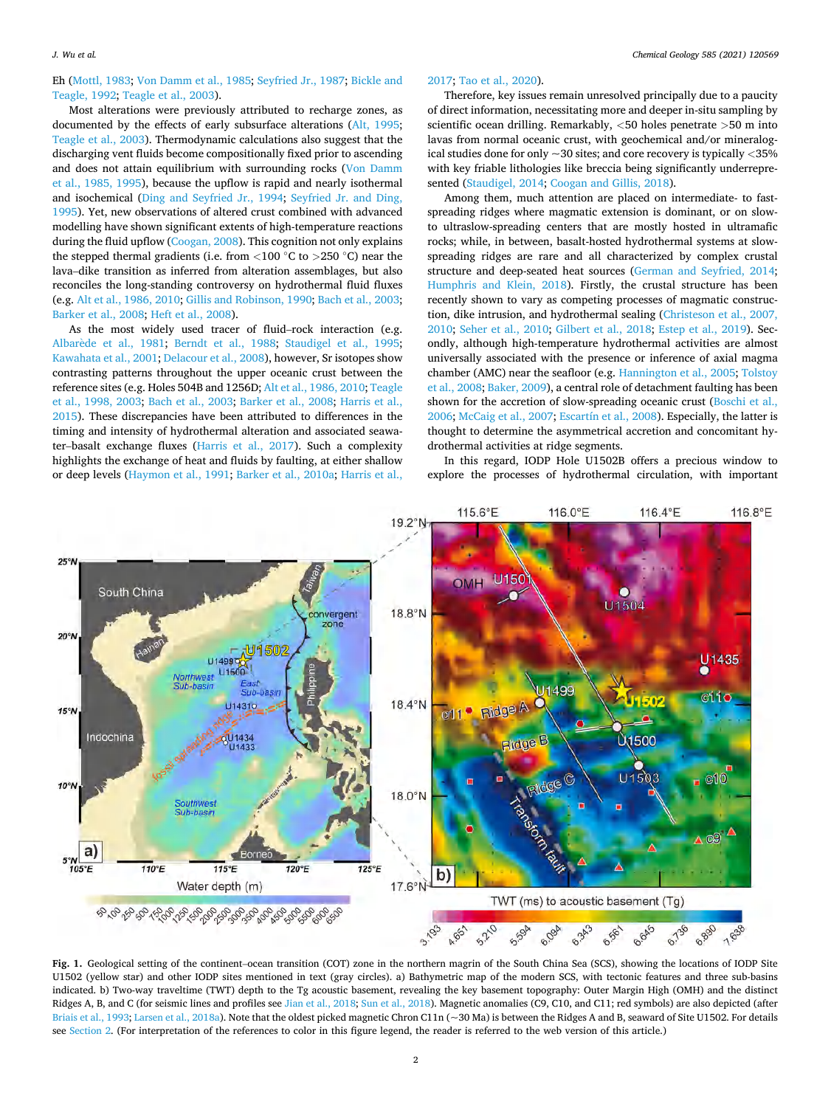<span id="page-1-0"></span>Eh [\(Mottl, 1983;](#page-18-0) [Von Damm et al., 1985](#page-19-0); [Seyfried Jr., 1987](#page-18-0); [Bickle and](#page-17-0)  [Teagle, 1992](#page-17-0); [Teagle et al., 2003\)](#page-18-0).

Most alterations were previously attributed to recharge zones, as documented by the effects of early subsurface alterations [\(Alt, 1995](#page-16-0); [Teagle et al., 2003\)](#page-18-0). Thermodynamic calculations also suggest that the discharging vent fluids become compositionally fixed prior to ascending and does not attain equilibrium with surrounding rocks ([Von Damm](#page-19-0)  [et al., 1985, 1995](#page-19-0)), because the upflow is rapid and nearly isothermal and isochemical ([Ding and Seyfried Jr., 1994](#page-17-0); [Seyfried Jr. and Ding,](#page-18-0)  [1995\)](#page-18-0). Yet, new observations of altered crust combined with advanced modelling have shown significant extents of high-temperature reactions during the fluid upflow ([Coogan, 2008](#page-17-0)). This cognition not only explains the stepped thermal gradients (i.e. from *<*100 ◦C to *>*250 ◦C) near the lava–dike transition as inferred from alteration assemblages, but also reconciles the long-standing controversy on hydrothermal fluid fluxes (e.g. [Alt et al., 1986, 2010](#page-17-0); [Gillis and Robinson, 1990; Bach et al., 2003](#page-17-0); [Barker et al., 2008; Heft et al., 2008\)](#page-17-0).

As the most widely used tracer of fluid–rock interaction (e.g. Albarède et al., 1981; [Berndt et al., 1988;](#page-17-0) [Staudigel et al., 1995](#page-18-0); [Kawahata et al., 2001](#page-18-0); [Delacour et al., 2008\)](#page-17-0), however, Sr isotopes show contrasting patterns throughout the upper oceanic crust between the reference sites (e.g. Holes 504B and 1256D; [Alt et al., 1986, 2010;](#page-17-0) [Teagle](#page-18-0)  [et al., 1998, 2003](#page-18-0); [Bach et al., 2003](#page-17-0); [Barker et al., 2008;](#page-17-0) [Harris et al.,](#page-17-0)  [2015\)](#page-17-0). These discrepancies have been attributed to differences in the timing and intensity of hydrothermal alteration and associated seawater–basalt exchange fluxes [\(Harris et al., 2017\)](#page-17-0). Such a complexity highlights the exchange of heat and fluids by faulting, at either shallow or deep levels [\(Haymon et al., 1991;](#page-17-0) [Barker et al., 2010a; Harris et al.,](#page-17-0) 

# [2017;](#page-17-0) [Tao et al., 2020\)](#page-18-0).

Therefore, key issues remain unresolved principally due to a paucity of direct information, necessitating more and deeper in-situ sampling by scientific ocean drilling. Remarkably, *<*50 holes penetrate *>*50 m into lavas from normal oceanic crust, with geochemical and/or mineralogical studies done for only ~30 sites; and core recovery is typically *<*35% with key friable lithologies like breccia being significantly underrepresented ([Staudigel, 2014](#page-18-0); [Coogan and Gillis, 2018\)](#page-17-0).

Among them, much attention are placed on intermediate- to fastspreading ridges where magmatic extension is dominant, or on slowto ultraslow-spreading centers that are mostly hosted in ultramafic rocks; while, in between, basalt-hosted hydrothermal systems at slowspreading ridges are rare and all characterized by complex crustal structure and deep-seated heat sources ([German and Seyfried, 2014](#page-17-0); [Humphris and Klein, 2018](#page-18-0)). Firstly, the crustal structure has been recently shown to vary as competing processes of magmatic construction, dike intrusion, and hydrothermal sealing ([Christeson et al., 2007,](#page-17-0)  [2010;](#page-17-0) [Seher et al., 2010](#page-18-0); [Gilbert et al., 2018](#page-17-0); [Estep et al., 2019](#page-17-0)). Secondly, although high-temperature hydrothermal activities are almost universally associated with the presence or inference of axial magma chamber (AMC) near the seafloor (e.g. [Hannington et al., 2005](#page-17-0); [Tolstoy](#page-19-0)  [et al., 2008;](#page-19-0) [Baker, 2009\)](#page-17-0), a central role of detachment faulting has been shown for the accretion of slow-spreading oceanic crust ([Boschi et al.,](#page-17-0)  [2006;](#page-17-0) [McCaig et al., 2007;](#page-18-0) [Escartín et al., 2008](#page-17-0)). Especially, the latter is thought to determine the asymmetrical accretion and concomitant hydrothermal activities at ridge segments.

In this regard, IODP Hole U1502B offers a precious window to explore the processes of hydrothermal circulation, with important



**Fig. 1.** Geological setting of the continent–ocean transition (COT) zone in the northern magrin of the South China Sea (SCS), showing the locations of IODP Site U1502 (yellow star) and other IODP sites mentioned in text (gray circles). a) Bathymetric map of the modern SCS, with tectonic features and three sub-basins indicated. b) Two-way traveltime (TWT) depth to the Tg acoustic basement, revealing the key basement topography: Outer Margin High (OMH) and the distinct Ridges A, B, and C (for seismic lines and profiles see [Jian et al., 2018](#page-18-0); [Sun et al., 2018\)](#page-18-0). Magnetic anomalies (C9, C10, and C11; red symbols) are also depicted (after [Briais et al., 1993;](#page-17-0) [Larsen et al., 2018a\)](#page-18-0). Note that the oldest picked magnetic Chron C11n (~30 Ma) is between the Ridges A and B, seaward of Site U1502. For details see [Section 2](#page-3-0). (For interpretation of the references to color in this figure legend, the reader is referred to the web version of this article.)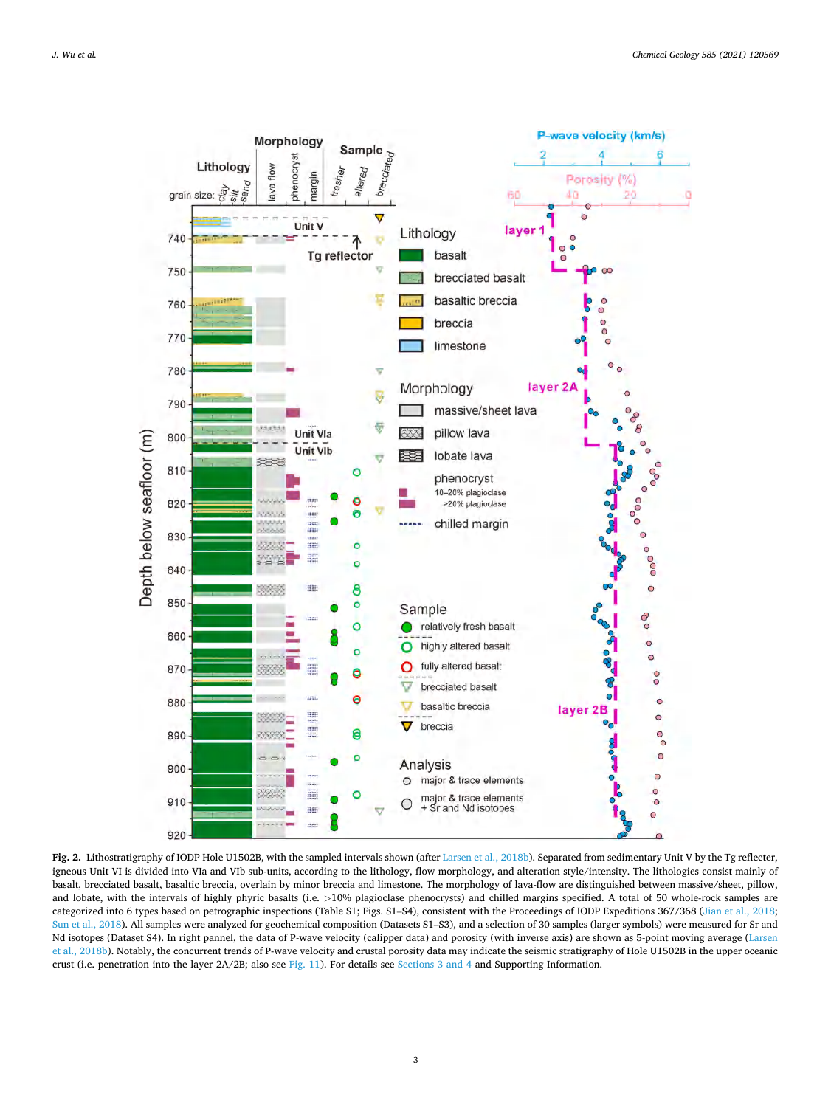<span id="page-2-0"></span>

**Fig. 2.** Lithostratigraphy of IODP Hole U1502B, with the sampled intervals shown (after [Larsen et al., 2018b](#page-18-0)). Separated from sedimentary Unit V by the Tg reflecter, igneous Unit VI is divided into VIa and VIb sub-units, according to the lithology, flow morphology, and alteration style/intensity. The lithologies consist mainly of basalt, brecciated basalt, basaltic breccia, overlain by minor breccia and limestone. The morphology of lava-flow are distinguished between massive/sheet, pillow, and lobate, with the intervals of highly phyric basalts (i.e. *>*10% plagioclase phenocrysts) and chilled margins specified. A total of 50 whole-rock samples are categorized into 6 types based on petrographic inspections (Table S1; Figs. S1–S4), consistent with the Proceedings of IODP Expeditions 367/368 [\(Jian et al., 2018;](#page-18-0) [Sun et al., 2018](#page-18-0)). All samples were analyzed for geochemical composition (Datasets S1-S3), and a selection of 30 samples (larger symbols) were measured for Sr and Nd isotopes (Dataset S4). In right pannel, the data of P-wave velocity (calipper data) and porosity (with inverse axis) are shown as 5-point moving average ([Larsen](#page-18-0)  [et al., 2018b](#page-18-0)). Notably, the concurrent trends of P-wave velocity and crustal porosity data may indicate the seismic stratigraphy of Hole U1502B in the upper oceanic crust (i.e. penetration into the layer 2A/2B; also see [Fig. 11\)](#page-15-0). For details see [Sections 3 and 4](#page-4-0) and Supporting Information.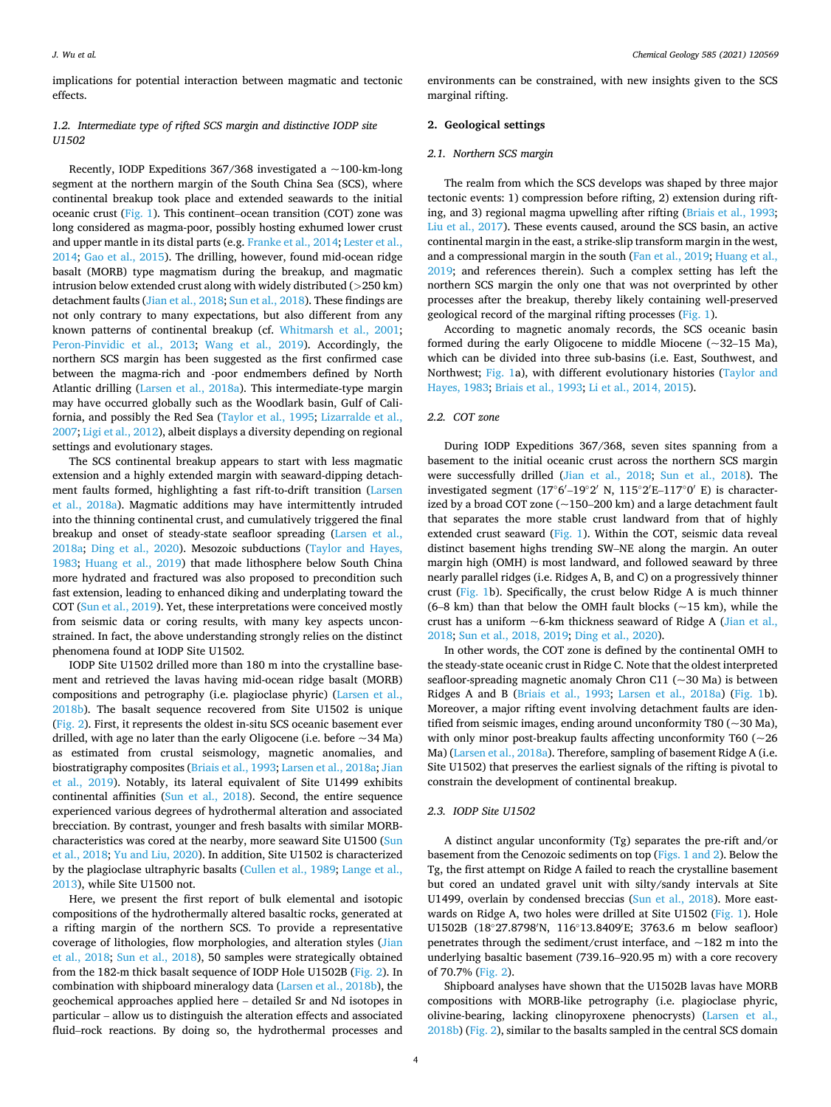<span id="page-3-0"></span>implications for potential interaction between magmatic and tectonic effects.

# *1.2. Intermediate type of rifted SCS margin and distinctive IODP site U1502*

Recently, IODP Expeditions  $367/368$  investigated a  $\sim$ 100-km-long segment at the northern margin of the South China Sea (SCS), where continental breakup took place and extended seawards to the initial oceanic crust ([Fig. 1\)](#page-1-0). This continent–ocean transition (COT) zone was long considered as magma-poor, possibly hosting exhumed lower crust and upper mantle in its distal parts (e.g. [Franke et al., 2014](#page-17-0); [Lester et al.,](#page-18-0)  [2014;](#page-18-0) [Gao et al., 2015\)](#page-17-0). The drilling, however, found mid-ocean ridge basalt (MORB) type magmatism during the breakup, and magmatic intrusion below extended crust along with widely distributed (*>*250 km) detachment faults ([Jian et al., 2018](#page-18-0); [Sun et al., 2018](#page-18-0)). These findings are not only contrary to many expectations, but also different from any known patterns of continental breakup (cf. [Whitmarsh et al., 2001](#page-19-0); [Peron-Pinvidic et al., 2013;](#page-18-0) [Wang et al., 2019\)](#page-19-0). Accordingly, the northern SCS margin has been suggested as the first confirmed case between the magma-rich and -poor endmembers defined by North Atlantic drilling [\(Larsen et al., 2018a\)](#page-18-0). This intermediate-type margin may have occurred globally such as the Woodlark basin, Gulf of California, and possibly the Red Sea ([Taylor et al., 1995](#page-18-0); [Lizarralde et al.,](#page-18-0)  [2007; Ligi et al., 2012](#page-18-0)), albeit displays a diversity depending on regional settings and evolutionary stages.

The SCS continental breakup appears to start with less magmatic extension and a highly extended margin with seaward-dipping detachment faults formed, highlighting a fast rift-to-drift transition ([Larsen](#page-18-0)  [et al., 2018a](#page-18-0)). Magmatic additions may have intermittently intruded into the thinning continental crust, and cumulatively triggered the final breakup and onset of steady-state seafloor spreading [\(Larsen et al.,](#page-18-0)  [2018a;](#page-18-0) [Ding et al., 2020](#page-17-0)). Mesozoic subductions ([Taylor and Hayes,](#page-18-0)  [1983;](#page-18-0) [Huang et al., 2019](#page-18-0)) that made lithosphere below South China more hydrated and fractured was also proposed to precondition such fast extension, leading to enhanced diking and underplating toward the COT [\(Sun et al., 2019](#page-18-0)). Yet, these interpretations were conceived mostly from seismic data or coring results, with many key aspects unconstrained. In fact, the above understanding strongly relies on the distinct phenomena found at IODP Site U1502.

IODP Site U1502 drilled more than 180 m into the crystalline basement and retrieved the lavas having mid-ocean ridge basalt (MORB) compositions and petrography (i.e. plagioclase phyric) ([Larsen et al.,](#page-18-0)  [2018b\)](#page-18-0). The basalt sequence recovered from Site U1502 is unique ([Fig. 2](#page-2-0)). First, it represents the oldest in-situ SCS oceanic basement ever drilled, with age no later than the early Oligocene (i.e. before  $\sim$  34 Ma) as estimated from crustal seismology, magnetic anomalies, and biostratigraphy composites [\(Briais et al., 1993;](#page-17-0) [Larsen et al., 2018a; Jian](#page-18-0)  [et al., 2019](#page-18-0)). Notably, its lateral equivalent of Site U1499 exhibits continental affinities [\(Sun et al., 2018\)](#page-18-0). Second, the entire sequence experienced various degrees of hydrothermal alteration and associated brecciation. By contrast, younger and fresh basalts with similar MORBcharacteristics was cored at the nearby, more seaward Site U1500 [\(Sun](#page-18-0)  [et al., 2018](#page-18-0); [Yu and Liu, 2020\)](#page-19-0). In addition, Site U1502 is characterized by the plagioclase ultraphyric basalts [\(Cullen et al., 1989;](#page-17-0) [Lange et al.,](#page-18-0)  [2013\)](#page-18-0), while Site U1500 not.

Here, we present the first report of bulk elemental and isotopic compositions of the hydrothermally altered basaltic rocks, generated at a rifting margin of the northern SCS. To provide a representative coverage of lithologies, flow morphologies, and alteration styles ([Jian](#page-18-0)  [et al., 2018;](#page-18-0) [Sun et al., 2018](#page-18-0)), 50 samples were strategically obtained from the 182-m thick basalt sequence of IODP Hole U1502B [\(Fig. 2](#page-2-0)). In combination with shipboard mineralogy data [\(Larsen et al., 2018b](#page-18-0)), the geochemical approaches applied here – detailed Sr and Nd isotopes in particular – allow us to distinguish the alteration effects and associated fluid–rock reactions. By doing so, the hydrothermal processes and

environments can be constrained, with new insights given to the SCS marginal rifting.

# **2. Geological settings**

## *2.1. Northern SCS margin*

The realm from which the SCS develops was shaped by three major tectonic events: 1) compression before rifting, 2) extension during rifting, and 3) regional magma upwelling after rifting [\(Briais et al., 1993](#page-17-0); [Liu et al., 2017\)](#page-18-0). These events caused, around the SCS basin, an active continental margin in the east, a strike-slip transform margin in the west, and a compressional margin in the south [\(Fan et al., 2019;](#page-17-0) [Huang et al.,](#page-18-0)  [2019;](#page-18-0) and references therein). Such a complex setting has left the northern SCS margin the only one that was not overprinted by other processes after the breakup, thereby likely containing well-preserved geological record of the marginal rifting processes [\(Fig. 1](#page-1-0)).

According to magnetic anomaly records, the SCS oceanic basin formed during the early Oligocene to middle Miocene  $(\sim 32-15$  Ma), which can be divided into three sub-basins (i.e. East, Southwest, and Northwest; [Fig. 1](#page-1-0)a), with different evolutionary histories ([Taylor and](#page-18-0)  [Hayes, 1983](#page-18-0); [Briais et al., 1993;](#page-17-0) [Li et al., 2014, 2015](#page-18-0)).

### *2.2. COT zone*

During IODP Expeditions 367/368, seven sites spanning from a basement to the initial oceanic crust across the northern SCS margin were successfully drilled [\(Jian et al., 2018](#page-18-0); [Sun et al., 2018\)](#page-18-0). The investigated segment (17◦6′ –19◦2′ N, 115◦2′ E–117◦0′ E) is characterized by a broad COT zone  $(-150-200 \text{ km})$  and a large detachment fault that separates the more stable crust landward from that of highly extended crust seaward [\(Fig. 1](#page-1-0)). Within the COT, seismic data reveal distinct basement highs trending SW–NE along the margin. An outer margin high (OMH) is most landward, and followed seaward by three nearly parallel ridges (i.e. Ridges A, B, and C) on a progressively thinner crust [\(Fig. 1b](#page-1-0)). Specifically, the crust below Ridge A is much thinner (6–8 km) than that below the OMH fault blocks ( $\sim$ 15 km), while the crust has a uniform  $\sim$  6-km thickness seaward of Ridge A (Jian et al., [2018; Sun et al., 2018, 2019;](#page-18-0) [Ding et al., 2020](#page-17-0)).

In other words, the COT zone is defined by the continental OMH to the steady-state oceanic crust in Ridge C. Note that the oldest interpreted seafloor-spreading magnetic anomaly Chron C11 (~30 Ma) is between Ridges A and B ([Briais et al., 1993](#page-17-0); [Larsen et al., 2018a\)](#page-18-0) ([Fig. 1](#page-1-0)b). Moreover, a major rifting event involving detachment faults are identified from seismic images, ending around unconformity T80 (~30 Ma), with only minor post-breakup faults affecting unconformity T60 ( $\sim$  26 Ma) [\(Larsen et al., 2018a\)](#page-18-0). Therefore, sampling of basement Ridge A (i.e. Site U1502) that preserves the earliest signals of the rifting is pivotal to constrain the development of continental breakup.

#### *2.3. IODP Site U1502*

A distinct angular unconformity (Tg) separates the pre-rift and/or basement from the Cenozoic sediments on top ([Figs. 1 and 2\)](#page-1-0). Below the Tg, the first attempt on Ridge A failed to reach the crystalline basement but cored an undated gravel unit with silty/sandy intervals at Site U1499, overlain by condensed breccias ([Sun et al., 2018\)](#page-18-0). More east-wards on Ridge A, two holes were drilled at Site U1502 ([Fig. 1](#page-1-0)). Hole U1502B (18◦27.8798′ N, 116◦13.8409′ E; 3763.6 m below seafloor) penetrates through the sediment/crust interface, and  $\sim$ 182 m into the underlying basaltic basement (739.16–920.95 m) with a core recovery of 70.7% ([Fig. 2\)](#page-2-0).

Shipboard analyses have shown that the U1502B lavas have MORB compositions with MORB-like petrography (i.e. plagioclase phyric, olivine-bearing, lacking clinopyroxene phenocrysts) ([Larsen et al.,](#page-18-0)  [2018b\)](#page-18-0) ([Fig. 2](#page-2-0)), similar to the basalts sampled in the central SCS domain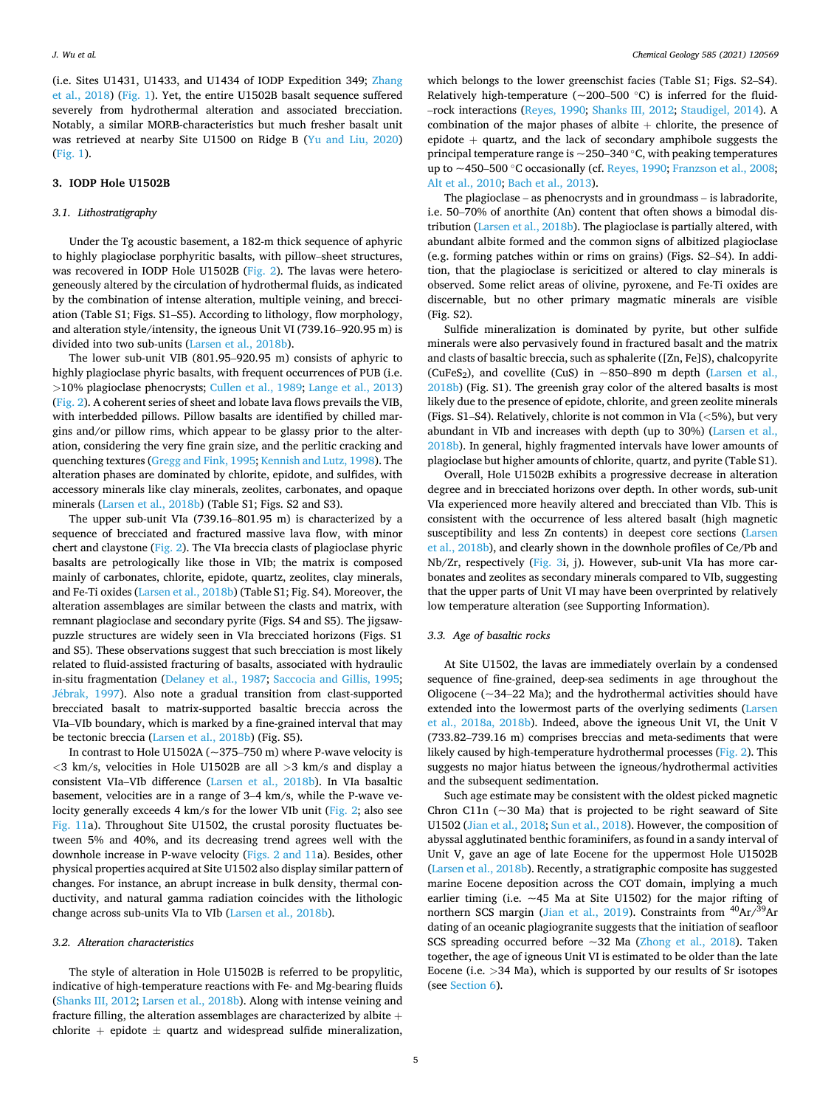<span id="page-4-0"></span>(i.e. Sites U1431, U1433, and U1434 of IODP Expedition 349; [Zhang](#page-19-0)  [et al., 2018\)](#page-19-0) ([Fig. 1](#page-1-0)). Yet, the entire U1502B basalt sequence suffered severely from hydrothermal alteration and associated brecciation. Notably, a similar MORB-characteristics but much fresher basalt unit was retrieved at nearby Site U1500 on Ridge B ([Yu and Liu, 2020\)](#page-19-0) ([Fig. 1\)](#page-1-0).

# **3. IODP Hole U1502B**

#### *3.1. Lithostratigraphy*

Under the Tg acoustic basement, a 182-m thick sequence of aphyric to highly plagioclase porphyritic basalts, with pillow–sheet structures, was recovered in IODP Hole U1502B [\(Fig. 2](#page-2-0)). The lavas were heterogeneously altered by the circulation of hydrothermal fluids, as indicated by the combination of intense alteration, multiple veining, and brecciation (Table S1; Figs. S1–S5). According to lithology, flow morphology, and alteration style/intensity, the igneous Unit VI (739.16–920.95 m) is divided into two sub-units ([Larsen et al., 2018b\)](#page-18-0).

The lower sub-unit VIB (801.95–920.95 m) consists of aphyric to highly plagioclase phyric basalts, with frequent occurrences of PUB (i.e. *>*10% plagioclase phenocrysts; [Cullen et al., 1989;](#page-17-0) [Lange et al., 2013\)](#page-18-0) ([Fig. 2\)](#page-2-0). A coherent series of sheet and lobate lava flows prevails the VIB, with interbedded pillows. Pillow basalts are identified by chilled margins and/or pillow rims, which appear to be glassy prior to the alteration, considering the very fine grain size, and the perlitic cracking and quenching textures ([Gregg and Fink, 1995](#page-17-0); [Kennish and Lutz, 1998\)](#page-18-0). The alteration phases are dominated by chlorite, epidote, and sulfides, with accessory minerals like clay minerals, zeolites, carbonates, and opaque minerals [\(Larsen et al., 2018b](#page-18-0)) (Table S1; Figs. S2 and S3).

The upper sub-unit VIa (739.16–801.95 m) is characterized by a sequence of brecciated and fractured massive lava flow, with minor chert and claystone ([Fig. 2\)](#page-2-0). The VIa breccia clasts of plagioclase phyric basalts are petrologically like those in VIb; the matrix is composed mainly of carbonates, chlorite, epidote, quartz, zeolites, clay minerals, and Fe-Ti oxides [\(Larsen et al., 2018b](#page-18-0)) (Table S1; Fig. S4). Moreover, the alteration assemblages are similar between the clasts and matrix, with remnant plagioclase and secondary pyrite (Figs. S4 and S5). The jigsawpuzzle structures are widely seen in VIa brecciated horizons (Figs. S1 and S5). These observations suggest that such brecciation is most likely related to fluid-assisted fracturing of basalts, associated with hydraulic in-situ fragmentation ([Delaney et al., 1987](#page-17-0); [Saccocia and Gillis, 1995](#page-18-0); Jébrak, 1997). Also note a gradual transition from clast-supported brecciated basalt to matrix-supported basaltic breccia across the VIa–VIb boundary, which is marked by a fine-grained interval that may be tectonic breccia [\(Larsen et al., 2018b\)](#page-18-0) (Fig. S5).

In contrast to Hole U1502A ( $\sim$ 375–750 m) where P-wave velocity is *<*3 km/s, velocities in Hole U1502B are all *>*3 km/s and display a consistent VIa–VIb difference [\(Larsen et al., 2018b\)](#page-18-0). In VIa basaltic basement, velocities are in a range of 3–4 km/s, while the P-wave ve-locity generally exceeds 4 km/s for the lower VIb unit [\(Fig. 2](#page-2-0); also see [Fig. 11](#page-15-0)a). Throughout Site U1502, the crustal porosity fluctuates between 5% and 40%, and its decreasing trend agrees well with the downhole increase in P-wave velocity [\(Figs. 2 and 11a](#page-2-0)). Besides, other physical properties acquired at Site U1502 also display similar pattern of changes. For instance, an abrupt increase in bulk density, thermal conductivity, and natural gamma radiation coincides with the lithologic change across sub-units VIa to VIb ([Larsen et al., 2018b\)](#page-18-0).

#### *3.2. Alteration characteristics*

The style of alteration in Hole U1502B is referred to be propylitic, indicative of high-temperature reactions with Fe- and Mg-bearing fluids ([Shanks III, 2012; Larsen et al., 2018b](#page-18-0)). Along with intense veining and fracture filling, the alteration assemblages are characterized by albite  $+$ chlorite + epidote  $\pm$  quartz and widespread sulfide mineralization,

which belongs to the lower greenschist facies (Table S1; Figs. S2–S4). Relatively high-temperature ( $\sim$ 200–500 °C) is inferred for the fluid-–rock interactions [\(Reyes, 1990;](#page-18-0) [Shanks III, 2012](#page-18-0); [Staudigel, 2014](#page-18-0)). A combination of the major phases of albite  $+$  chlorite, the presence of epidote  $+$  quartz, and the lack of secondary amphibole suggests the principal temperature range is  $\sim$  250–340 °C, with peaking temperatures up to  $\sim$ 450–500 °C occasionally (cf. [Reyes, 1990;](#page-18-0) [Franzson et al., 2008](#page-17-0); [Alt et al., 2010; Bach et al., 2013](#page-17-0)).

The plagioclase – as phenocrysts and in groundmass – is labradorite, i.e. 50–70% of anorthite (An) content that often shows a bimodal distribution ([Larsen et al., 2018b](#page-18-0)). The plagioclase is partially altered, with abundant albite formed and the common signs of albitized plagioclase (e.g. forming patches within or rims on grains) (Figs. S2–S4). In addition, that the plagioclase is sericitized or altered to clay minerals is observed. Some relict areas of olivine, pyroxene, and Fe-Ti oxides are discernable, but no other primary magmatic minerals are visible (Fig. S2).

Sulfide mineralization is dominated by pyrite, but other sulfide minerals were also pervasively found in fractured basalt and the matrix and clasts of basaltic breccia, such as sphalerite ([Zn, Fe]S), chalcopyrite (CuFeS<sub>2</sub>), and covellite (CuS) in  $\sim$ 850–890 m depth (Larsen et al., [2018b\)](#page-18-0) (Fig. S1). The greenish gray color of the altered basalts is most likely due to the presence of epidote, chlorite, and green zeolite minerals (Figs. S1–S4). Relatively, chlorite is not common in VIa (*<*5%), but very abundant in VIb and increases with depth (up to 30%) [\(Larsen et al.,](#page-18-0)  [2018b\)](#page-18-0). In general, highly fragmented intervals have lower amounts of plagioclase but higher amounts of chlorite, quartz, and pyrite (Table S1).

Overall, Hole U1502B exhibits a progressive decrease in alteration degree and in brecciated horizons over depth. In other words, sub-unit VIa experienced more heavily altered and brecciated than VIb. This is consistent with the occurrence of less altered basalt (high magnetic susceptibility and less Zn contents) in deepest core sections ([Larsen](#page-18-0)  [et al., 2018b\)](#page-18-0), and clearly shown in the downhole profiles of Ce/Pb and Nb/Zr, respectively ([Fig. 3i](#page-5-0), j). However, sub-unit VIa has more carbonates and zeolites as secondary minerals compared to VIb, suggesting that the upper parts of Unit VI may have been overprinted by relatively low temperature alteration (see Supporting Information).

## *3.3. Age of basaltic rocks*

At Site U1502, the lavas are immediately overlain by a condensed sequence of fine-grained, deep-sea sediments in age throughout the Oligocene ( $\sim$ 34–22 Ma); and the hydrothermal activities should have extended into the lowermost parts of the overlying sediments ([Larsen](#page-18-0)  [et al., 2018a, 2018b](#page-18-0)). Indeed, above the igneous Unit VI, the Unit V (733.82–739.16 m) comprises breccias and meta-sediments that were likely caused by high-temperature hydrothermal processes [\(Fig. 2\)](#page-2-0). This suggests no major hiatus between the igneous/hydrothermal activities and the subsequent sedimentation.

Such age estimate may be consistent with the oldest picked magnetic Chron C11n  $(-30$  Ma) that is projected to be right seaward of Site U1502 [\(Jian et al., 2018](#page-18-0); [Sun et al., 2018\)](#page-18-0). However, the composition of abyssal agglutinated benthic foraminifers, as found in a sandy interval of Unit V, gave an age of late Eocene for the uppermost Hole U1502B ([Larsen et al., 2018b](#page-18-0)). Recently, a stratigraphic composite has suggested marine Eocene deposition across the COT domain, implying a much earlier timing (i.e.  $\sim$  45 Ma at Site U1502) for the major rifting of northern SCS margin ([Jian et al., 2019\)](#page-18-0). Constraints from <sup>40</sup>Ar/<sup>39</sup>Ar dating of an oceanic plagiogranite suggests that the initiation of seafloor SCS spreading occurred before ~32 Ma ([Zhong et al., 2018](#page-19-0)). Taken together, the age of igneous Unit VI is estimated to be older than the late Eocene (i.e. *>*34 Ma), which is supported by our results of Sr isotopes (see [Section 6\)](#page-9-0).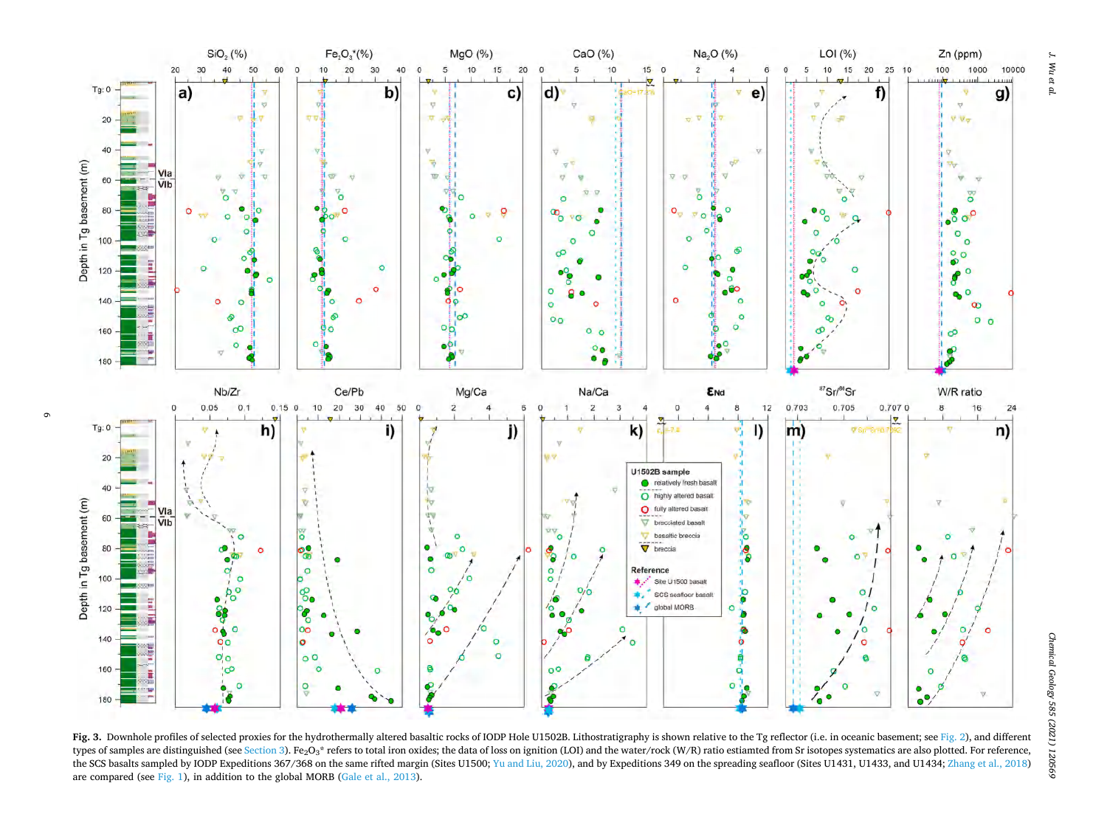<span id="page-5-0"></span>

Fig. 3. Downhole profiles of selected proxies for the hydrothermally altered basaltic rocks of IODP Hole U1502B. Lithostratigraphy is shown relative to the Tg reflector (i.e. in oceanic basement: see [Fig. 2](#page-2-0)), and different types of samples are distinguished (see [Section 3](#page-4-0)). Fe<sub>2</sub>O<sub>3</sub>\* refers to total iron oxides; the data of loss on ignition (LOI) and the water/rock (W/R) ratio estiamted from Sr isotopes systematics are also plotted. For ref the SCS basalts sampled by IODP Expeditions 367/368 on the same rifted margin (Sites U1500; [Yu and Liu, 2020\)](#page-19-0), and by Expeditions 349 on the spreading seafloor (Sites U1431, U1433, and U1434; [Zhang et al., 2018\)](#page-19-0) are compared (see [Fig. 1\)](#page-1-0), in addition to the global MORB ([Gale et al., 2013](#page-17-0)).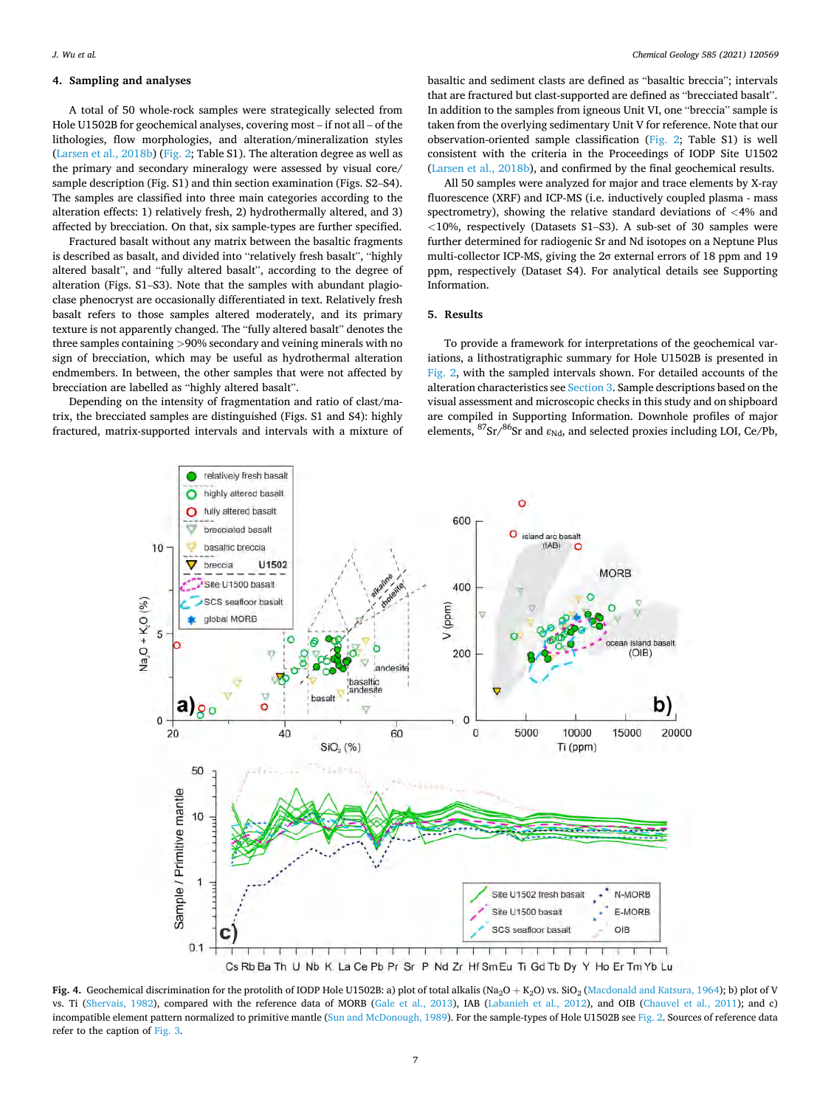# <span id="page-6-0"></span>**4. Sampling and analyses**

A total of 50 whole-rock samples were strategically selected from Hole U1502B for geochemical analyses, covering most – if not all – of the lithologies, flow morphologies, and alteration/mineralization styles ([Larsen et al., 2018b](#page-18-0)) [\(Fig. 2;](#page-2-0) Table S1). The alteration degree as well as the primary and secondary mineralogy were assessed by visual core/ sample description (Fig. S1) and thin section examination (Figs. S2–S4). The samples are classified into three main categories according to the alteration effects: 1) relatively fresh, 2) hydrothermally altered, and 3) affected by brecciation. On that, six sample-types are further specified.

Fractured basalt without any matrix between the basaltic fragments is described as basalt, and divided into "relatively fresh basalt", "highly altered basalt", and "fully altered basalt", according to the degree of alteration (Figs. S1–S3). Note that the samples with abundant plagioclase phenocryst are occasionally differentiated in text. Relatively fresh basalt refers to those samples altered moderately, and its primary texture is not apparently changed. The "fully altered basalt" denotes the three samples containing *>*90% secondary and veining minerals with no sign of brecciation, which may be useful as hydrothermal alteration endmembers. In between, the other samples that were not affected by brecciation are labelled as "highly altered basalt".

Depending on the intensity of fragmentation and ratio of clast/matrix, the brecciated samples are distinguished (Figs. S1 and S4): highly fractured, matrix-supported intervals and intervals with a mixture of

basaltic and sediment clasts are defined as "basaltic breccia"; intervals that are fractured but clast-supported are defined as "brecciated basalt". In addition to the samples from igneous Unit VI, one "breccia" sample is taken from the overlying sedimentary Unit V for reference. Note that our observation-oriented sample classification ([Fig. 2](#page-2-0); Table S1) is well consistent with the criteria in the Proceedings of IODP Site U1502 ([Larsen et al., 2018b\)](#page-18-0), and confirmed by the final geochemical results.

All 50 samples were analyzed for major and trace elements by X-ray fluorescence (XRF) and ICP-MS (i.e. inductively coupled plasma - mass spectrometry), showing the relative standard deviations of *<*4% and *<*10%, respectively (Datasets S1–S3). A sub-set of 30 samples were further determined for radiogenic Sr and Nd isotopes on a Neptune Plus multi-collector ICP-MS, giving the 2σ external errors of 18 ppm and 19 ppm, respectively (Dataset S4). For analytical details see Supporting Information.

# **5. Results**

To provide a framework for interpretations of the geochemical variations, a lithostratigraphic summary for Hole U1502B is presented in [Fig. 2](#page-2-0), with the sampled intervals shown. For detailed accounts of the alteration characteristics see [Section 3](#page-4-0). Sample descriptions based on the visual assessment and microscopic checks in this study and on shipboard are compiled in Supporting Information. Downhole profiles of major elements,  ${}^{87}Sr/{}^{86}Sr$  and  $\varepsilon_{Nd}$ , and selected proxies including LOI, Ce/Pb,



Fig. 4. Geochemical discrimination for the protolith of IODP Hole U1502B: a) plot of total alkalis (Na<sub>2</sub>O + K<sub>2</sub>O) vs. SiO<sub>2</sub> [\(Macdonald and Katsura, 1964\)](#page-18-0); b) plot of V vs. Ti ([Shervais, 1982\)](#page-18-0), compared with the reference data of MORB ([Gale et al., 2013\)](#page-17-0), IAB [\(Labanieh et al., 2012\)](#page-18-0), and OIB [\(Chauvel et al., 2011\)](#page-17-0); and c) incompatible element pattern normalized to primitive mantle [\(Sun and McDonough, 1989\)](#page-18-0). For the sample-types of Hole U1502B see [Fig. 2](#page-2-0). Sources of reference data refer to the caption of [Fig. 3](#page-5-0).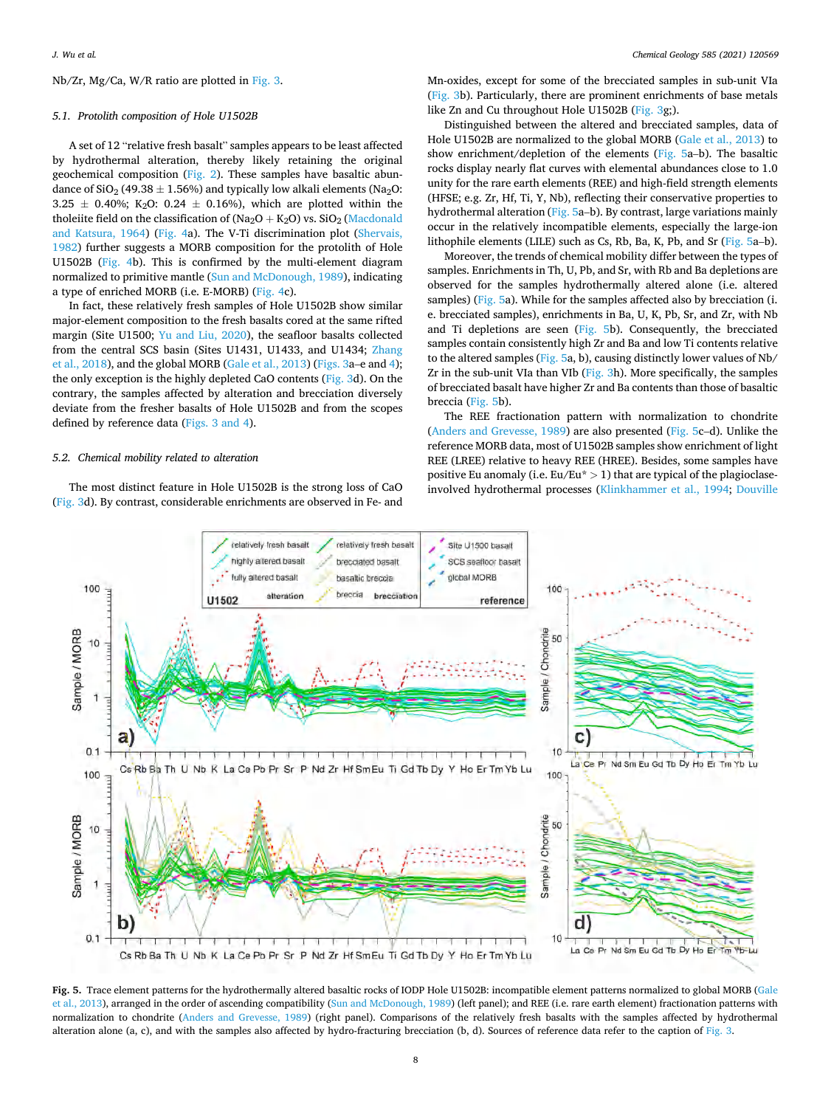#### <span id="page-7-0"></span>Nb/Zr, Mg/Ca, W/R ratio are plotted in [Fig. 3.](#page-5-0)

#### *5.1. Protolith composition of Hole U1502B*

A set of 12 "relative fresh basalt" samples appears to be least affected by hydrothermal alteration, thereby likely retaining the original geochemical composition [\(Fig. 2](#page-2-0)). These samples have basaltic abundance of  $SiO<sub>2</sub>$  (49.38  $\pm$  1.56%) and typically low alkali elements (Na<sub>2</sub>O: 3.25  $\pm$  0.40%; K<sub>2</sub>O: 0.24  $\pm$  0.16%), which are plotted within the tholeiite field on the classification of (Na<sub>2</sub>O + K<sub>2</sub>O) vs. SiO<sub>2</sub> (Macdonald [and Katsura, 1964](#page-18-0)) ([Fig. 4a](#page-6-0)). The V-Ti discrimination plot ([Shervais,](#page-18-0)  [1982\)](#page-18-0) further suggests a MORB composition for the protolith of Hole U1502B [\(Fig. 4](#page-6-0)b). This is confirmed by the multi-element diagram normalized to primitive mantle [\(Sun and McDonough, 1989](#page-18-0)), indicating a type of enriched MORB (i.e. E-MORB) ([Fig. 4c](#page-6-0)).

In fact, these relatively fresh samples of Hole U1502B show similar major-element composition to the fresh basalts cored at the same rifted margin (Site U1500; [Yu and Liu, 2020\)](#page-19-0), the seafloor basalts collected from the central SCS basin (Sites U1431, U1433, and U1434; [Zhang](#page-19-0)  [et al., 2018\)](#page-19-0), and the global MORB ([Gale et al., 2013\)](#page-17-0) ([Figs. 3](#page-5-0)a–e and [4](#page-6-0)); the only exception is the highly depleted CaO contents ([Fig. 3](#page-5-0)d). On the contrary, the samples affected by alteration and brecciation diversely deviate from the fresher basalts of Hole U1502B and from the scopes defined by reference data [\(Figs. 3 and 4\)](#page-5-0).

# *5.2. Chemical mobility related to alteration*

The most distinct feature in Hole U1502B is the strong loss of CaO ([Fig. 3](#page-5-0)d). By contrast, considerable enrichments are observed in Fe- and Mn-oxides, except for some of the brecciated samples in sub-unit VIa ([Fig. 3b](#page-5-0)). Particularly, there are prominent enrichments of base metals like Zn and Cu throughout Hole U1502B ([Fig. 3g](#page-5-0);).

Distinguished between the altered and brecciated samples, data of Hole U1502B are normalized to the global MORB ([Gale et al., 2013](#page-17-0)) to show enrichment/depletion of the elements (Fig. 5a–b). The basaltic rocks display nearly flat curves with elemental abundances close to 1.0 unity for the rare earth elements (REE) and high-field strength elements (HFSE; e.g. Zr, Hf, Ti, Y, Nb), reflecting their conservative properties to hydrothermal alteration (Fig. 5a–b). By contrast, large variations mainly occur in the relatively incompatible elements, especially the large-ion lithophile elements (LILE) such as Cs, Rb, Ba, K, Pb, and Sr (Fig. 5a–b).

Moreover, the trends of chemical mobility differ between the types of samples. Enrichments in Th, U, Pb, and Sr, with Rb and Ba depletions are observed for the samples hydrothermally altered alone (i.e. altered samples) (Fig. 5a). While for the samples affected also by brecciation (i. e. brecciated samples), enrichments in Ba, U, K, Pb, Sr, and Zr, with Nb and Ti depletions are seen (Fig. 5b). Consequently, the brecciated samples contain consistently high Zr and Ba and low Ti contents relative to the altered samples (Fig. 5a, b), causing distinctly lower values of Nb/ Zr in the sub-unit VIa than VIb [\(Fig. 3h](#page-5-0)). More specifically, the samples of brecciated basalt have higher Zr and Ba contents than those of basaltic breccia (Fig. 5b).

The REE fractionation pattern with normalization to chondrite ([Anders and Grevesse, 1989\)](#page-17-0) are also presented (Fig. 5c–d). Unlike the reference MORB data, most of U1502B samples show enrichment of light REE (LREE) relative to heavy REE (HREE). Besides, some samples have positive Eu anomaly (i.e. Eu/Eu\* *>* 1) that are typical of the plagioclaseinvolved hydrothermal processes [\(Klinkhammer et al., 1994;](#page-18-0) [Douville](#page-17-0) 



**Fig. 5.** Trace element patterns for the hydrothermally altered basaltic rocks of IODP Hole U1502B: incompatible element patterns normalized to global MORB [\(Gale](#page-17-0)  [et al., 2013](#page-17-0)), arranged in the order of ascending compatibility ([Sun and McDonough, 1989](#page-18-0)) (left panel); and REE (i.e. rare earth element) fractionation patterns with normalization to chondrite ([Anders and Grevesse, 1989](#page-17-0)) (right panel). Comparisons of the relatively fresh basalts with the samples affected by hydrothermal alteration alone (a, c), and with the samples also affected by hydro-fracturing brecciation (b, d). Sources of reference data refer to the caption of [Fig. 3.](#page-5-0)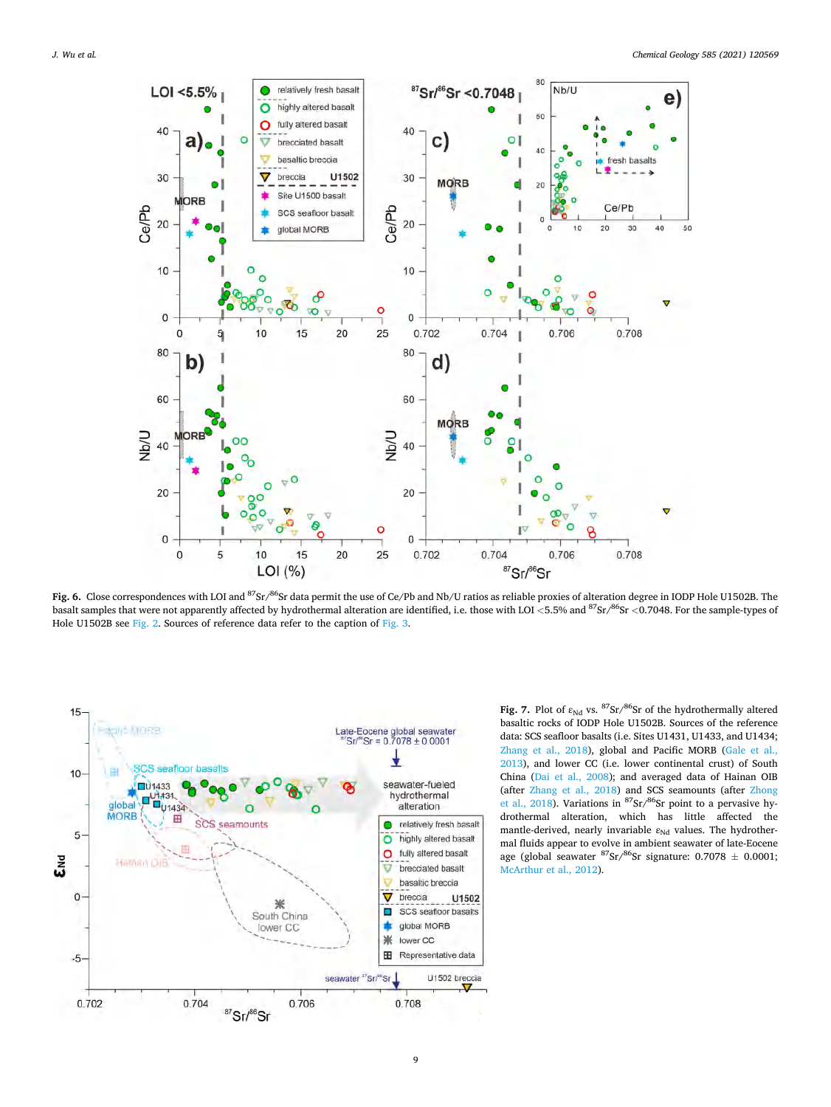<span id="page-8-0"></span>

**Fig. 6.** Close correspondences with LOI and 87Sr/86Sr data permit the use of Ce/Pb and Nb/U ratios as reliable proxies of alteration degree in IODP Hole U1502B. The basalt samples that were not apparently affected by hydrothermal alteration are identified, i.e. those with LOI *<*5.5% and 87Sr/86Sr *<*0.7048. For the sample-types of Hole U1502B see [Fig. 2](#page-2-0). Sources of reference data refer to the caption of [Fig. 3](#page-5-0).



Fig. 7. Plot of  $\varepsilon_{Nd}$  vs.  ${}^{87}Sr/{}^{86}Sr$  of the hydrothermally altered basaltic rocks of IODP Hole U1502B. Sources of the reference data: SCS seafloor basalts (i.e. Sites U1431, U1433, and U1434; [Zhang et al., 2018](#page-19-0)), global and Pacific MORB [\(Gale et al.,](#page-17-0)  [2013\)](#page-17-0), and lower CC (i.e. lower continental crust) of South China [\(Dai et al., 2008\)](#page-17-0); and averaged data of Hainan OIB (after [Zhang et al., 2018](#page-19-0)) and SCS seamounts (after [Zhong](#page-19-0)  [et al., 2018](#page-19-0)). Variations in  $87$ Sr/ $86$ Sr point to a pervasive hydrothermal alteration, which has little affected the mantle-derived, nearly invariable  $\varepsilon_{Nd}$  values. The hydrothermal fluids appear to evolve in ambient seawater of late-Eocene age (global seawater  ${}^{87}Sr/{}^{86}Sr$  signature: 0.7078  $\pm$  0.0001; [McArthur et al., 2012](#page-18-0)).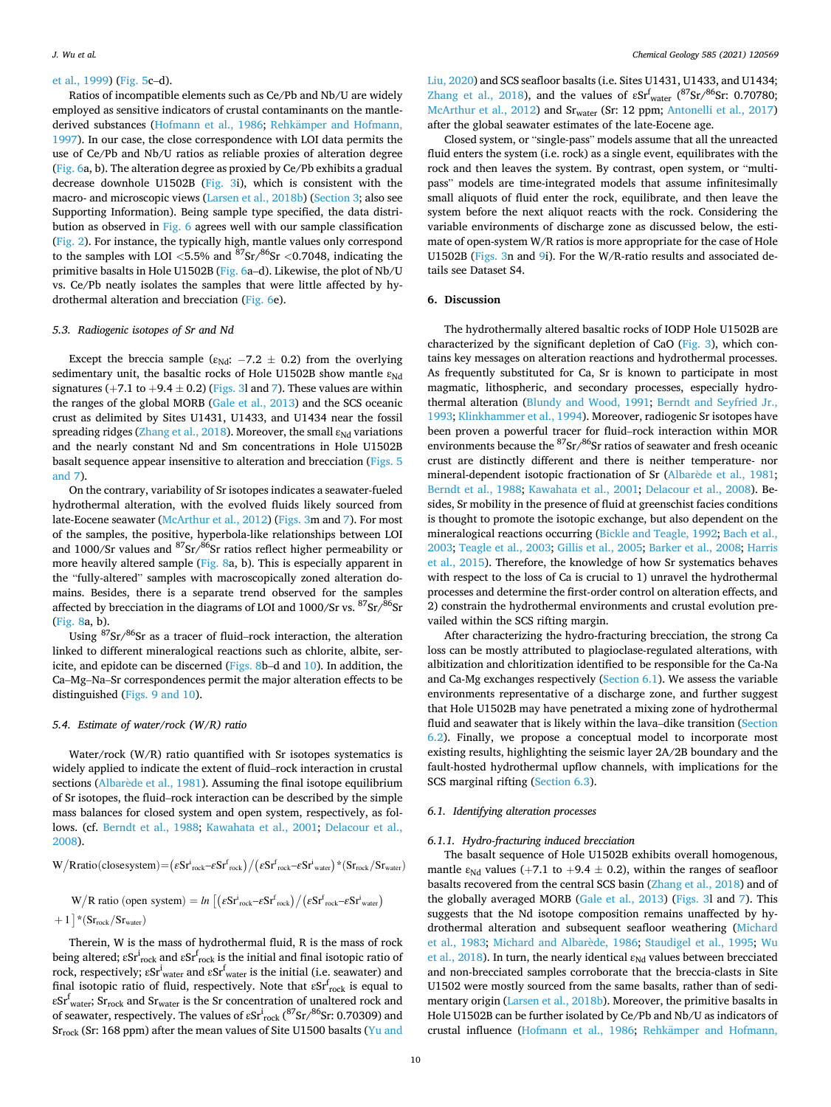### <span id="page-9-0"></span>[et al., 1999\)](#page-17-0) [\(Fig. 5](#page-7-0)c–d).

Ratios of incompatible elements such as Ce/Pb and Nb/U are widely employed as sensitive indicators of crustal contaminants on the mantle-derived substances ([Hofmann et al., 1986;](#page-18-0) Rehkämper and Hofmann, [1997\)](#page-18-0). In our case, the close correspondence with LOI data permits the use of Ce/Pb and Nb/U ratios as reliable proxies of alteration degree ([Fig. 6a](#page-8-0), b). The alteration degree as proxied by Ce/Pb exhibits a gradual decrease downhole U1502B [\(Fig. 3](#page-5-0)i), which is consistent with the macro- and microscopic views [\(Larsen et al., 2018b](#page-18-0)) [\(Section 3](#page-4-0); also see Supporting Information). Being sample type specified, the data distribution as observed in [Fig. 6](#page-8-0) agrees well with our sample classification ([Fig. 2](#page-2-0)). For instance, the typically high, mantle values only correspond to the samples with LOI *<*5.5% and 87Sr/86Sr *<*0.7048, indicating the primitive basalts in Hole U1502B ([Fig. 6](#page-8-0)a–d). Likewise, the plot of Nb/U vs. Ce/Pb neatly isolates the samples that were little affected by hydrothermal alteration and brecciation [\(Fig. 6](#page-8-0)e).

## *5.3. Radiogenic isotopes of Sr and Nd*

Except the breccia sample ( $\varepsilon_{Nd}$ : -7.2  $\pm$  0.2) from the overlying sedimentary unit, the basaltic rocks of Hole U1502B show mantle  $\varepsilon_{Nd}$ signatures (+7.1 to +9.4  $\pm$  0.2) ([Figs. 3l](#page-5-0) and [7](#page-8-0)). These values are within the ranges of the global MORB ([Gale et al., 2013](#page-17-0)) and the SCS oceanic crust as delimited by Sites U1431, U1433, and U1434 near the fossil spreading ridges ([Zhang et al., 2018](#page-19-0)). Moreover, the small  $\varepsilon_{Nd}$  variations and the nearly constant Nd and Sm concentrations in Hole U1502B basalt sequence appear insensitive to alteration and brecciation ([Figs. 5](#page-7-0)  [and 7\)](#page-7-0).

On the contrary, variability of Sr isotopes indicates a seawater-fueled hydrothermal alteration, with the evolved fluids likely sourced from late-Eocene seawater [\(McArthur et al., 2012\)](#page-18-0) ([Figs. 3m](#page-5-0) and [7\)](#page-8-0). For most of the samples, the positive, hyperbola-like relationships between LOI and 1000/Sr values and 87Sr/86Sr ratios reflect higher permeability or more heavily altered sample ([Fig. 8](#page-10-0)a, b). This is especially apparent in the "fully-altered" samples with macroscopically zoned alteration domains. Besides, there is a separate trend observed for the samples affected by brecciation in the diagrams of LOI and  $1000/Sr$  vs.  $87Sr/86Sr$ ([Fig. 8a](#page-10-0), b).

Using  $87$ Sr/ $86$ Sr as a tracer of fluid–rock interaction, the alteration linked to different mineralogical reactions such as chlorite, albite, sericite, and epidote can be discerned ([Figs. 8b](#page-10-0)–d and [10\)](#page-12-0). In addition, the Ca–Mg–Na–Sr correspondences permit the major alteration effects to be distinguished [\(Figs. 9 and 10](#page-11-0)).

#### *5.4. Estimate of water/rock (W/R) ratio*

Water/rock (W/R) ratio quantified with Sr isotopes systematics is widely applied to indicate the extent of fluid–rock interaction in crustal sections (Albarède et al., 1981). Assuming the final isotope equilibrium of Sr isotopes, the fluid–rock interaction can be described by the simple mass balances for closed system and open system, respectively, as follows. (cf. [Berndt et al., 1988](#page-17-0); [Kawahata et al., 2001;](#page-18-0) [Delacour et al.,](#page-17-0)  [2008\)](#page-17-0).

$$
W/R ratio (closesystem)\!=\!\left(\epsilon S r^i_{\rm rock}\!-\!\epsilon S r^f_{\rm rock}\right)\!/\!\left(\epsilon S r^f_{\rm rock}\!-\!\epsilon S r^i_{\rm water}\right)\!{\star}(S r_{\rm rock}/S r_{\rm water})
$$

$$
W/R \text{ ratio (open system)} = \ln\big[\big(\epsilon S r^i_{\text{rock}} - \epsilon S r^f_{\text{rock}}\big) \big/ \big(\epsilon S r^f_{\text{rock}} - \epsilon S r^i_{\text{water}}\big) + 1\big] * \big(S r_{\text{rock}} / S r_{\text{water}}\big)
$$

Therein, W is the mass of hydrothermal fluid, R is the mass of rock being altered;  $\varepsilon\mathrm{Sr}_{\mathrm{rock}}^{\mathrm{i}}$  and  $\varepsilon\mathrm{Sr}_{\mathrm{rock}}^{\mathrm{f}}$  is the initial and final isotopic ratio of rock, respectively;  $\varepsilon Sr^i{}_{water}$  and  $\varepsilon Sr^f{}_{water}$  is the initial (i.e. seawater) and final isotopic ratio of fluid, respectively. Note that  $\mathrm{eSr}_{\mathrm{rock}}^{\mathrm{f}}$  is equal to  $\varepsilon Sr^f_{\text{water}}$ ;  $Sr_{\text{rock}}$  and  $Sr_{\text{water}}$  is the Sr concentration of unaltered rock and of seawater, respectively. The values of  $\varepsilon\mathit{Sr}^i_{\rm rock}({}^{87}\mathit{Sr} / ^{86}\mathit{Sr}\hspace{-1pt}:$  0.70309) and Sr<sub>rock</sub> (Sr: 168 ppm) after the mean values of Site U1500 basalts (Yu and

[Liu, 2020\)](#page-19-0) and SCS seafloor basalts (i.e. Sites U1431, U1433, and U1434; [Zhang et al., 2018\)](#page-19-0), and the values of  $\epsilon S r_{water}^{f}$  ( $\frac{87}{ST}$  / $\frac{86}{ST}$ : 0.70780; [McArthur et al., 2012](#page-18-0)) and Srwater (Sr: 12 ppm; [Antonelli et al., 2017\)](#page-17-0) after the global seawater estimates of the late-Eocene age.

Closed system, or "single-pass" models assume that all the unreacted fluid enters the system (i.e. rock) as a single event, equilibrates with the rock and then leaves the system. By contrast, open system, or "multipass" models are time-integrated models that assume infinitesimally small aliquots of fluid enter the rock, equilibrate, and then leave the system before the next aliquot reacts with the rock. Considering the variable environments of discharge zone as discussed below, the estimate of open-system W/R ratios is more appropriate for the case of Hole U1502B ([Figs. 3n](#page-5-0) and [9i](#page-11-0)). For the W/R-ratio results and associated details see Dataset S4.

#### **6. Discussion**

The hydrothermally altered basaltic rocks of IODP Hole U1502B are characterized by the significant depletion of CaO [\(Fig. 3\)](#page-5-0), which contains key messages on alteration reactions and hydrothermal processes. As frequently substituted for Ca, Sr is known to participate in most magmatic, lithospheric, and secondary processes, especially hydrothermal alteration ([Blundy and Wood, 1991;](#page-17-0) [Berndt and Seyfried Jr.,](#page-17-0)  [1993;](#page-17-0) [Klinkhammer et al., 1994](#page-18-0)). Moreover, radiogenic Sr isotopes have been proven a powerful tracer for fluid–rock interaction within MOR environments because the <sup>87</sup>Sr/<sup>86</sup>Sr ratios of seawater and fresh oceanic crust are distinctly different and there is neither temperature- nor mineral-dependent isotopic fractionation of Sr (Albarède et al., 1981; [Berndt et al., 1988](#page-17-0); [Kawahata et al., 2001;](#page-18-0) [Delacour et al., 2008](#page-17-0)). Besides, Sr mobility in the presence of fluid at greenschist facies conditions is thought to promote the isotopic exchange, but also dependent on the mineralogical reactions occurring ([Bickle and Teagle, 1992](#page-17-0); [Bach et al.,](#page-17-0)  [2003;](#page-17-0) [Teagle et al., 2003](#page-18-0); [Gillis et al., 2005; Barker et al., 2008](#page-17-0); [Harris](#page-17-0)  [et al., 2015](#page-17-0)). Therefore, the knowledge of how Sr systematics behaves with respect to the loss of Ca is crucial to 1) unravel the hydrothermal processes and determine the first-order control on alteration effects, and 2) constrain the hydrothermal environments and crustal evolution prevailed within the SCS rifting margin.

After characterizing the hydro-fracturing brecciation, the strong Ca loss can be mostly attributed to plagioclase-regulated alterations, with albitization and chloritization identified to be responsible for the Ca-Na and Ca-Mg exchanges respectively (Section 6.1). We assess the variable environments representative of a discharge zone, and further suggest that Hole U1502B may have penetrated a mixing zone of hydrothermal fluid and seawater that is likely within the lava–dike transition ([Section](#page-13-0)  [6.2\)](#page-13-0). Finally, we propose a conceptual model to incorporate most existing results, highlighting the seismic layer 2A/2B boundary and the fault-hosted hydrothermal upflow channels, with implications for the SCS marginal rifting (Section 6.3).

## *6.1. Identifying alteration processes*

## *6.1.1. Hydro-fracturing induced brecciation*

The basalt sequence of Hole U1502B exhibits overall homogenous, mantle  $\varepsilon_{Nd}$  values (+7.1 to +9.4  $\pm$  0.2), within the ranges of seafloor basalts recovered from the central SCS basin ([Zhang et al., 2018\)](#page-19-0) and of the globally averaged MORB ([Gale et al., 2013\)](#page-17-0) ([Figs. 3l](#page-5-0) and [7\)](#page-8-0). This suggests that the Nd isotope composition remains unaffected by hydrothermal alteration and subsequent seafloor weathering [\(Michard](#page-18-0)  [et al., 1983](#page-18-0); [Michard and Albar](#page-18-0)ède, 1986; [Staudigel et al., 1995](#page-18-0); Wu [et al., 2018](#page-19-0)). In turn, the nearly identical  $\varepsilon_{Nd}$  values between brecciated and non-brecciated samples corroborate that the breccia-clasts in Site U1502 were mostly sourced from the same basalts, rather than of sedimentary origin ([Larsen et al., 2018b](#page-18-0)). Moreover, the primitive basalts in Hole U1502B can be further isolated by Ce/Pb and Nb/U as indicators of crustal influence [\(Hofmann et al., 1986;](#page-18-0) Rehkämper and Hofmann,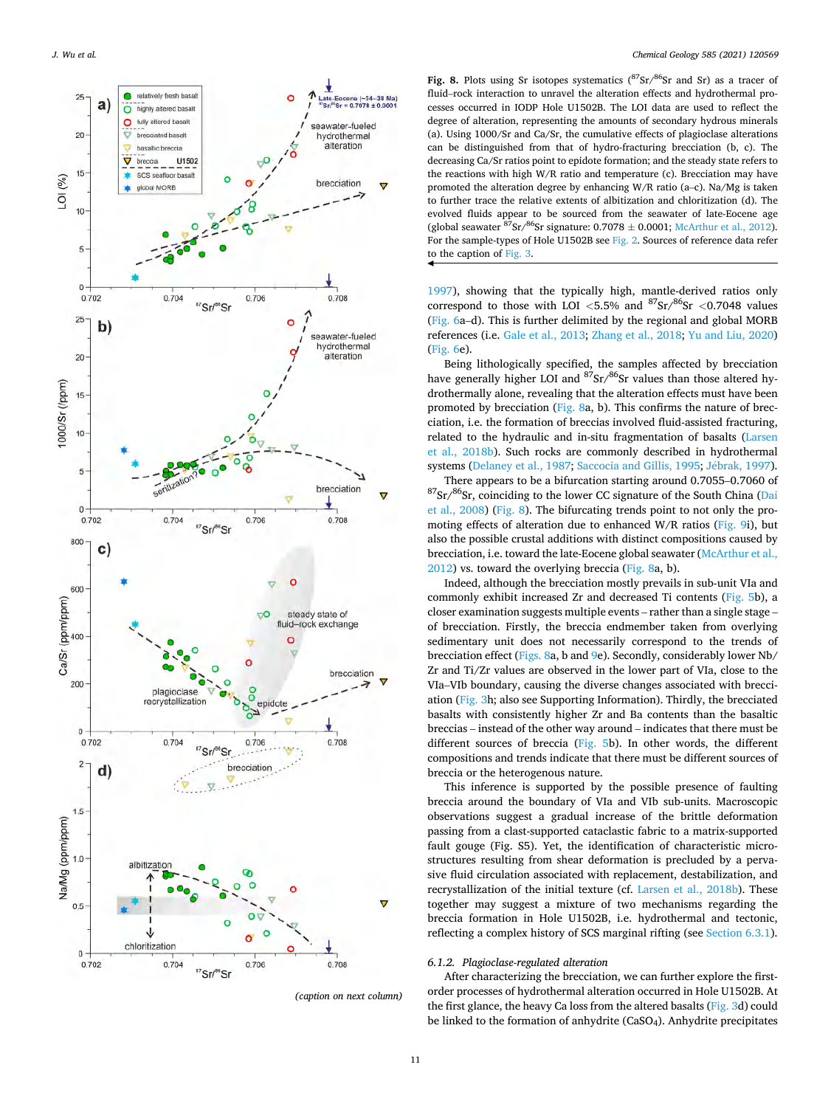<span id="page-10-0"></span>

*<sup>(</sup>caption on next column)* 

Fig. 8. Plots using Sr isotopes systematics  $(^{87}Sr/^{86}Sr$  and Sr) as a tracer of fluid–rock interaction to unravel the alteration effects and hydrothermal processes occurred in IODP Hole U1502B. The LOI data are used to reflect the degree of alteration, representing the amounts of secondary hydrous minerals (a). Using 1000/Sr and Ca/Sr, the cumulative effects of plagioclase alterations can be distinguished from that of hydro-fracturing brecciation (b, c). The decreasing Ca/Sr ratios point to epidote formation; and the steady state refers to the reactions with high W/R ratio and temperature (c). Brecciation may have promoted the alteration degree by enhancing W/R ratio (a–c). Na/Mg is taken to further trace the relative extents of albitization and chloritization (d). The evolved fluids appear to be sourced from the seawater of late-Eocene age (global seawater  $87$ Sr/ $86$ Sr signature: 0.7078  $\pm$  0.0001; [McArthur et al., 2012\)](#page-18-0). For the sample-types of Hole U1502B see [Fig. 2.](#page-2-0) Sources of reference data refer to the caption of [Fig. 3.](#page-5-0)

[1997\)](#page-18-0), showing that the typically high, mantle-derived ratios only correspond to those with LOI  $\langle 5.5\% \rangle$  and  $\frac{87}{5}$ sr  $\langle 0.7048 \rangle$  values ([Fig. 6a](#page-8-0)–d). This is further delimited by the regional and global MORB references (i.e. [Gale et al., 2013;](#page-17-0) [Zhang et al., 2018;](#page-19-0) [Yu and Liu, 2020\)](#page-19-0) ([Fig. 6e](#page-8-0)).

Being lithologically specified, the samples affected by brecciation have generally higher LOI and  $87$ Sr/ $86$ Sr values than those altered hydrothermally alone, revealing that the alteration effects must have been promoted by brecciation (Fig. 8a, b). This confirms the nature of brecciation, i.e. the formation of breccias involved fluid-assisted fracturing, related to the hydraulic and in-situ fragmentation of basalts ([Larsen](#page-18-0)  [et al., 2018b\)](#page-18-0). Such rocks are commonly described in hydrothermal systems ([Delaney et al., 1987](#page-17-0); [Saccocia and Gillis, 1995](#page-18-0); Jébrak, 1997). There appears to be a bifurcation starting around 0.7055–0.7060 of  $^{87}\mathrm{Sr/}^{86}\mathrm{Sr},$  coinciding to the lower CC signature of the South China (Dai [et al., 2008](#page-17-0)) (Fig. 8). The bifurcating trends point to not only the promoting effects of alteration due to enhanced W/R ratios ([Fig. 9](#page-11-0)i), but

also the possible crustal additions with distinct compositions caused by brecciation, i.e. toward the late-Eocene global seawater ([McArthur et al.,](#page-18-0)  [2012\)](#page-18-0) vs. toward the overlying breccia (Fig. 8a, b). Indeed, although the brecciation mostly prevails in sub-unit VIa and

commonly exhibit increased Zr and decreased Ti contents [\(Fig. 5b](#page-7-0)), a closer examination suggests multiple events – rather than a single stage – of brecciation. Firstly, the breccia endmember taken from overlying sedimentary unit does not necessarily correspond to the trends of brecciation effect (Figs. 8a, b and [9](#page-11-0)e). Secondly, considerably lower Nb/ Zr and Ti/Zr values are observed in the lower part of VIa, close to the VIa–VIb boundary, causing the diverse changes associated with brecciation ([Fig. 3](#page-5-0)h; also see Supporting Information). Thirdly, the brecciated basalts with consistently higher Zr and Ba contents than the basaltic breccias – instead of the other way around – indicates that there must be different sources of breccia ([Fig. 5](#page-7-0)b). In other words, the different compositions and trends indicate that there must be different sources of breccia or the heterogenous nature.

This inference is supported by the possible presence of faulting breccia around the boundary of VIa and VIb sub-units. Macroscopic observations suggest a gradual increase of the brittle deformation passing from a clast-supported cataclastic fabric to a matrix-supported fault gouge (Fig. S5). Yet, the identification of characteristic microstructures resulting from shear deformation is precluded by a pervasive fluid circulation associated with replacement, destabilization, and recrystallization of the initial texture (cf. [Larsen et al., 2018b](#page-18-0)). These together may suggest a mixture of two mechanisms regarding the breccia formation in Hole U1502B, i.e. hydrothermal and tectonic, reflecting a complex history of SCS marginal rifting (see [Section 6.3.1](#page-15-0)).

#### *6.1.2. Plagioclase-regulated alteration*

After characterizing the brecciation, we can further explore the firstorder processes of hydrothermal alteration occurred in Hole U1502B. At the first glance, the heavy Ca loss from the altered basalts ([Fig. 3](#page-5-0)d) could be linked to the formation of anhydrite (CaSO4). Anhydrite precipitates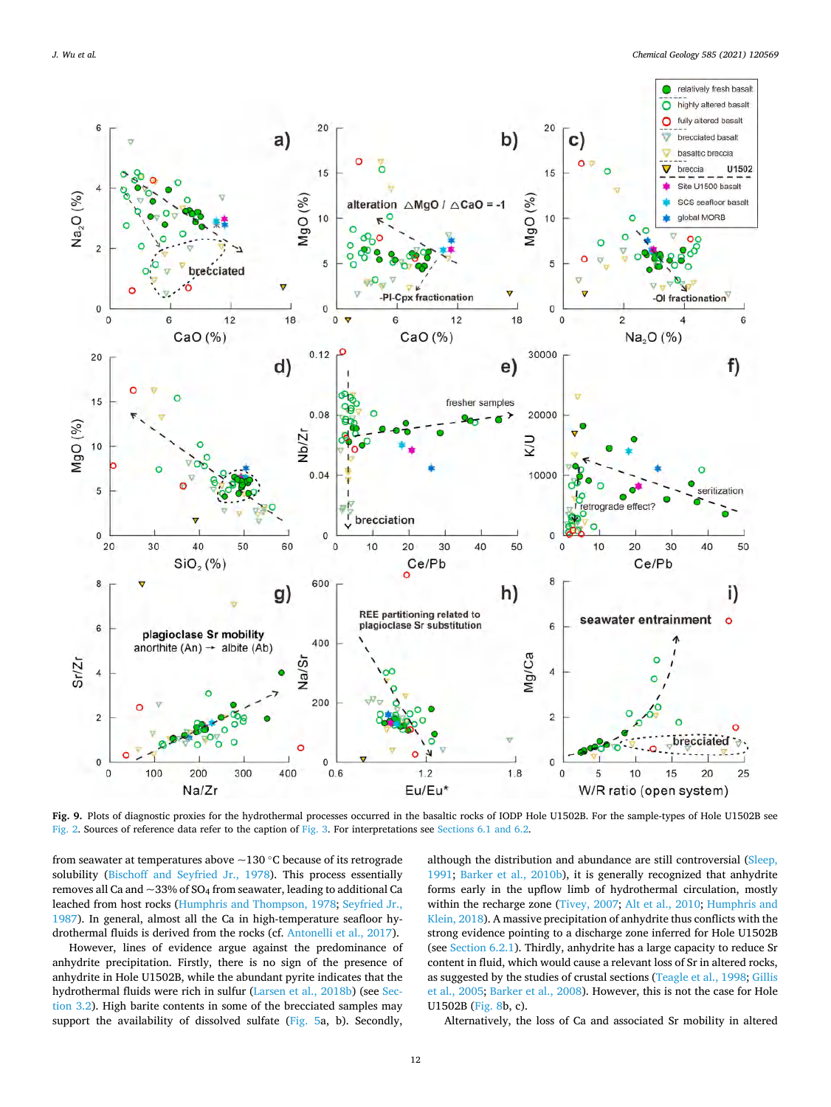<span id="page-11-0"></span>

**Fig. 9.** Plots of diagnostic proxies for the hydrothermal processes occurred in the basaltic rocks of IODP Hole U1502B. For the sample-types of Hole U1502B see [Fig. 2.](#page-2-0) Sources of reference data refer to the caption of [Fig. 3.](#page-5-0) For interpretations see [Sections 6.1 and 6.2.](#page-9-0)

from seawater at temperatures above  $\sim$ 130 °C because of its retrograde solubility ([Bischoff and Seyfried Jr., 1978\)](#page-17-0). This process essentially removes all Ca and  $\sim$ 33% of SO<sub>4</sub> from seawater, leading to additional Ca leached from host rocks [\(Humphris and Thompson, 1978](#page-18-0); [Seyfried Jr.,](#page-18-0)  [1987\)](#page-18-0). In general, almost all the Ca in high-temperature seafloor hydrothermal fluids is derived from the rocks (cf. [Antonelli et al., 2017](#page-17-0)).

However, lines of evidence argue against the predominance of anhydrite precipitation. Firstly, there is no sign of the presence of anhydrite in Hole U1502B, while the abundant pyrite indicates that the hydrothermal fluids were rich in sulfur ([Larsen et al., 2018b](#page-18-0)) (see [Sec](#page-4-0)[tion 3.2\)](#page-4-0). High barite contents in some of the brecciated samples may support the availability of dissolved sulfate ([Fig. 5a](#page-7-0), b). Secondly,

although the distribution and abundance are still controversial ([Sleep,](#page-18-0)  [1991;](#page-18-0) [Barker et al., 2010b](#page-17-0)), it is generally recognized that anhydrite forms early in the upflow limb of hydrothermal circulation, mostly within the recharge zone [\(Tivey, 2007;](#page-18-0) [Alt et al., 2010](#page-17-0); [Humphris and](#page-18-0)  [Klein, 2018\)](#page-18-0). A massive precipitation of anhydrite thus conflicts with the strong evidence pointing to a discharge zone inferred for Hole U1502B (see [Section 6.2.1\)](#page-13-0). Thirdly, anhydrite has a large capacity to reduce Sr content in fluid, which would cause a relevant loss of Sr in altered rocks, as suggested by the studies of crustal sections [\(Teagle et al., 1998](#page-18-0); [Gillis](#page-17-0)  [et al., 2005; Barker et al., 2008](#page-17-0)). However, this is not the case for Hole U1502B [\(Fig. 8](#page-10-0)b, c).

Alternatively, the loss of Ca and associated Sr mobility in altered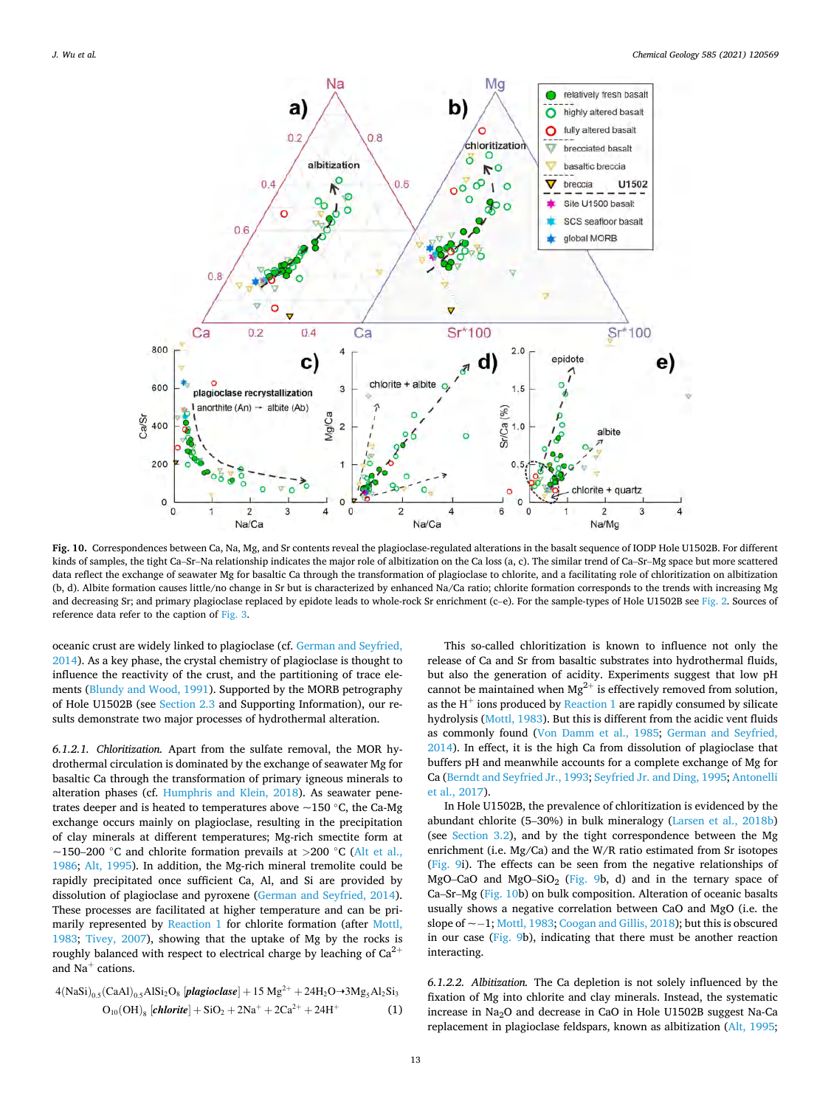<span id="page-12-0"></span>

**Fig. 10.** Correspondences between Ca, Na, Mg, and Sr contents reveal the plagioclase-regulated alterations in the basalt sequence of IODP Hole U1502B. For different kinds of samples, the tight Ca–Sr–Na relationship indicates the major role of albitization on the Ca loss (a, c). The similar trend of Ca–Sr–Mg space but more scattered data reflect the exchange of seawater Mg for basaltic Ca through the transformation of plagioclase to chlorite, and a facilitating role of chloritization on albitization (b, d). Albite formation causes little/no change in Sr but is characterized by enhanced Na/Ca ratio; chlorite formation corresponds to the trends with increasing Mg and decreasing Sr; and primary plagioclase replaced by epidote leads to whole-rock Sr enrichment (c-e). For the sample-types of Hole U1502B see [Fig. 2](#page-2-0). Sources of reference data refer to the caption of [Fig. 3](#page-5-0).

oceanic crust are widely linked to plagioclase (cf. [German and Seyfried,](#page-17-0)  [2014\)](#page-17-0). As a key phase, the crystal chemistry of plagioclase is thought to influence the reactivity of the crust, and the partitioning of trace elements [\(Blundy and Wood, 1991\)](#page-17-0). Supported by the MORB petrography of Hole U1502B (see [Section 2.3](#page-3-0) and Supporting Information), our results demonstrate two major processes of hydrothermal alteration.

*6.1.2.1. Chloritization.* Apart from the sulfate removal, the MOR hydrothermal circulation is dominated by the exchange of seawater Mg for basaltic Ca through the transformation of primary igneous minerals to alteration phases (cf. [Humphris and Klein, 2018\)](#page-18-0). As seawater penetrates deeper and is heated to temperatures above  $\sim$ 150 °C, the Ca-Mg exchange occurs mainly on plagioclase, resulting in the precipitation of clay minerals at different temperatures; Mg-rich smectite form at ~150–200 ◦C and chlorite formation prevails at *>*200 ◦C [\(Alt et al.,](#page-17-0)  [1986;](#page-17-0) [Alt, 1995](#page-16-0)). In addition, the Mg-rich mineral tremolite could be rapidly precipitated once sufficient Ca, Al, and Si are provided by dissolution of plagioclase and pyroxene ([German and Seyfried, 2014](#page-17-0)). These processes are facilitated at higher temperature and can be primarily represented by Reaction 1 for chlorite formation (after [Mottl,](#page-18-0)  [1983;](#page-18-0) [Tivey, 2007](#page-18-0)), showing that the uptake of Mg by the rocks is roughly balanced with respect to electrical charge by leaching of  $Ca^{2+}$ and  $Na<sup>+</sup>$  cations.

$$
4(NaSi)_{0.5}(CaAl)_{0.5}AlSi2O8 [plagioclase] + 15 Mg2+ + 24H2O \rightarrow 3Mg5Al2Si3
$$
  

$$
O_{10}(OH)_{8} [chlorite] + SiO2 + 2Na+ + 2Ca2+ + 24H+
$$
 (1)

This so-called chloritization is known to influence not only the release of Ca and Sr from basaltic substrates into hydrothermal fluids, but also the generation of acidity. Experiments suggest that low pH cannot be maintained when  $Mg^{2+}$  is effectively removed from solution, as the  $H^+$  ions produced by Reaction 1 are rapidly consumed by silicate hydrolysis ([Mottl, 1983](#page-18-0)). But this is different from the acidic vent fluids as commonly found [\(Von Damm et al., 1985;](#page-19-0) [German and Seyfried,](#page-17-0)  [2014\)](#page-17-0). In effect, it is the high Ca from dissolution of plagioclase that buffers pH and meanwhile accounts for a complete exchange of Mg for Ca [\(Berndt and Seyfried Jr., 1993](#page-17-0); [Seyfried Jr. and Ding, 1995](#page-18-0); [Antonelli](#page-17-0)  [et al., 2017\)](#page-17-0).

In Hole U1502B, the prevalence of chloritization is evidenced by the abundant chlorite (5–30%) in bulk mineralogy [\(Larsen et al., 2018b\)](#page-18-0) (see [Section 3.2](#page-4-0)), and by the tight correspondence between the Mg enrichment (i.e. Mg/Ca) and the W/R ratio estimated from Sr isotopes ([Fig. 9i](#page-11-0)). The effects can be seen from the negative relationships of MgO–CaO and MgO–SiO<sub>2</sub> [\(Fig. 9](#page-11-0)b, d) and in the ternary space of Ca–Sr–Mg (Fig. 10b) on bulk composition. Alteration of oceanic basalts usually shows a negative correlation between CaO and MgO (i.e. the slope of ~− 1; [Mottl, 1983](#page-18-0); [Coogan and Gillis, 2018\)](#page-17-0); but this is obscured in our case ([Fig. 9b](#page-11-0)), indicating that there must be another reaction interacting.

*6.1.2.2. Albitization.* The Ca depletion is not solely influenced by the fixation of Mg into chlorite and clay minerals. Instead, the systematic increase in Na2O and decrease in CaO in Hole U1502B suggest Na-Ca replacement in plagioclase feldspars, known as albitization [\(Alt, 1995](#page-16-0);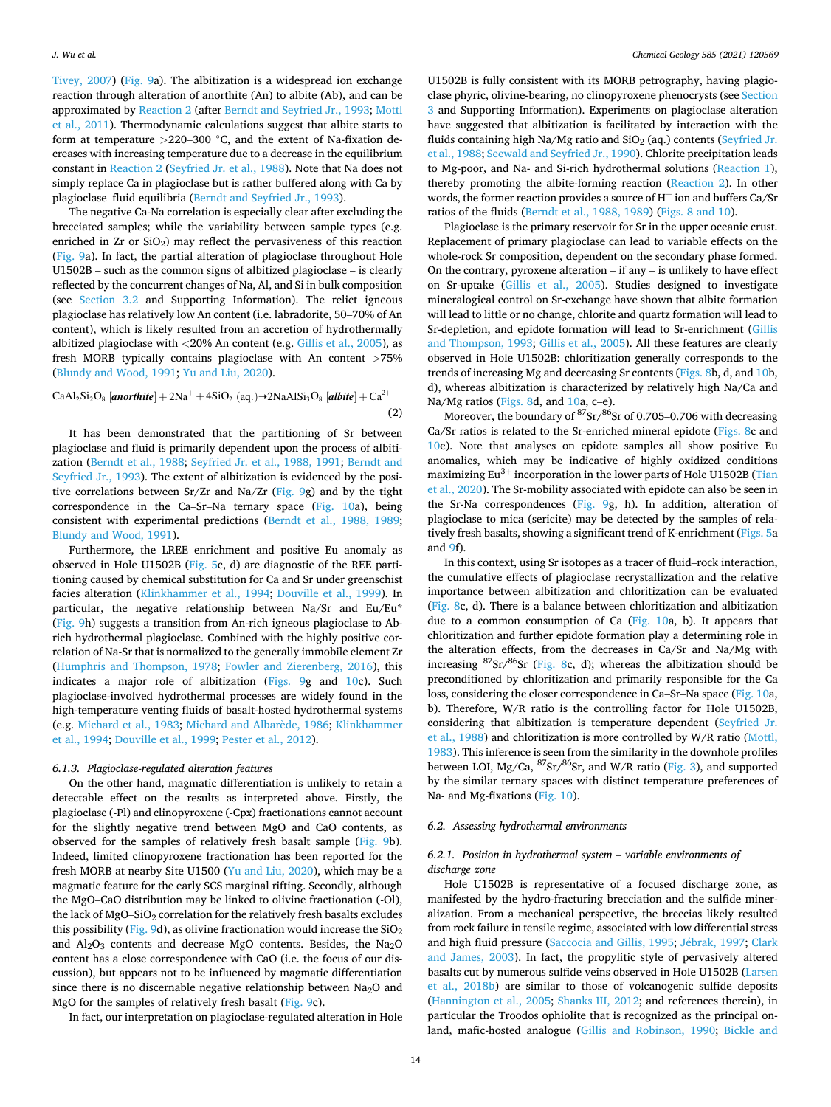<span id="page-13-0"></span>[Tivey, 2007](#page-18-0)) ([Fig. 9](#page-11-0)a). The albitization is a widespread ion exchange reaction through alteration of anorthite (An) to albite (Ab), and can be approximated by Reaction 2 (after [Berndt and Seyfried Jr., 1993](#page-17-0); [Mottl](#page-18-0)  [et al., 2011\)](#page-18-0). Thermodynamic calculations suggest that albite starts to form at temperature *>*220–300 ◦C, and the extent of Na-fixation decreases with increasing temperature due to a decrease in the equilibrium constant in Reaction 2 ([Seyfried Jr. et al., 1988](#page-18-0)). Note that Na does not simply replace Ca in plagioclase but is rather buffered along with Ca by plagioclase–fluid equilibria ([Berndt and Seyfried Jr., 1993](#page-17-0)).

The negative Ca-Na correlation is especially clear after excluding the brecciated samples; while the variability between sample types (e.g. enriched in Zr or SiO<sub>2</sub>) may reflect the pervasiveness of this reaction ([Fig. 9](#page-11-0)a). In fact, the partial alteration of plagioclase throughout Hole U1502B – such as the common signs of albitized plagioclase – is clearly reflected by the concurrent changes of Na, Al, and Si in bulk composition (see [Section 3.2](#page-4-0) and Supporting Information). The relict igneous plagioclase has relatively low An content (i.e. labradorite, 50–70% of An content), which is likely resulted from an accretion of hydrothermally albitized plagioclase with *<*20% An content (e.g. [Gillis et al., 2005\)](#page-17-0), as fresh MORB typically contains plagioclase with An content *>*75% ([Blundy and Wood, 1991;](#page-17-0) [Yu and Liu, 2020](#page-19-0)).

$$
CaAl_2Si_2O_8 \left[ anorthite \right] + 2Na^+ + 4SiO_2 \left( aq. \right) \rightarrow 2NaAlSi_3O_8 \left[ albite \right] + Ca^{2+} \tag{2}
$$

It has been demonstrated that the partitioning of Sr between plagioclase and fluid is primarily dependent upon the process of albitization [\(Berndt et al., 1988](#page-17-0); [Seyfried Jr. et al., 1988, 1991](#page-18-0); [Berndt and](#page-17-0)  [Seyfried Jr., 1993\)](#page-17-0). The extent of albitization is evidenced by the positive correlations between Sr/Zr and Na/Zr [\(Fig. 9g](#page-11-0)) and by the tight correspondence in the Ca–Sr–Na ternary space ([Fig. 10](#page-12-0)a), being consistent with experimental predictions [\(Berndt et al., 1988, 1989](#page-17-0); [Blundy and Wood, 1991\)](#page-17-0).

Furthermore, the LREE enrichment and positive Eu anomaly as observed in Hole U1502B ([Fig. 5](#page-7-0)c, d) are diagnostic of the REE partitioning caused by chemical substitution for Ca and Sr under greenschist facies alteration ([Klinkhammer et al., 1994](#page-18-0); [Douville et al., 1999](#page-17-0)). In particular, the negative relationship between Na/Sr and Eu/Eu\* ([Fig. 9h](#page-11-0)) suggests a transition from An-rich igneous plagioclase to Abrich hydrothermal plagioclase. Combined with the highly positive correlation of Na-Sr that is normalized to the generally immobile element Zr ([Humphris and Thompson, 1978;](#page-18-0) [Fowler and Zierenberg, 2016](#page-17-0)), this indicates a major role of albitization [\(Figs. 9](#page-11-0)g and [10c](#page-12-0)). Such plagioclase-involved hydrothermal processes are widely found in the high-temperature venting fluids of basalt-hosted hydrothermal systems (e.g. [Michard et al., 1983;](#page-18-0) [Michard and Albar](#page-18-0)ède, 1986; Klinkhammer [et al., 1994;](#page-18-0) [Douville et al., 1999;](#page-17-0) [Pester et al., 2012](#page-18-0)).

## *6.1.3. Plagioclase-regulated alteration features*

On the other hand, magmatic differentiation is unlikely to retain a detectable effect on the results as interpreted above. Firstly, the plagioclase (-Pl) and clinopyroxene (-Cpx) fractionations cannot account for the slightly negative trend between MgO and CaO contents, as observed for the samples of relatively fresh basalt sample ([Fig. 9b](#page-11-0)). Indeed, limited clinopyroxene fractionation has been reported for the fresh MORB at nearby Site U1500 [\(Yu and Liu, 2020\)](#page-19-0), which may be a magmatic feature for the early SCS marginal rifting. Secondly, although the MgO–CaO distribution may be linked to olivine fractionation (-Ol), the lack of  $MgO-SiO<sub>2</sub>$  correlation for the relatively fresh basalts excludes this possibility [\(Fig. 9](#page-11-0)d), as olivine fractionation would increase the  $SiO<sub>2</sub>$ and  $Al_2O_3$  contents and decrease MgO contents. Besides, the Na<sub>2</sub>O content has a close correspondence with CaO (i.e. the focus of our discussion), but appears not to be influenced by magmatic differentiation since there is no discernable negative relationship between  $Na<sub>2</sub>O$  and MgO for the samples of relatively fresh basalt [\(Fig. 9](#page-11-0)c).

In fact, our interpretation on plagioclase-regulated alteration in Hole

U1502B is fully consistent with its MORB petrography, having plagioclase phyric, olivine-bearing, no clinopyroxene phenocrysts (see [Section](#page-4-0)  [3](#page-4-0) and Supporting Information). Experiments on plagioclase alteration have suggested that albitization is facilitated by interaction with the fluids containing high Na/Mg ratio and  $SiO<sub>2</sub>$  (aq.) contents (Seyfried Jr. [et al., 1988](#page-18-0); [Seewald and Seyfried Jr., 1990\)](#page-18-0). Chlorite precipitation leads to Mg-poor, and Na- and Si-rich hydrothermal solutions [\(Reaction 1](#page-12-0)), thereby promoting the albite-forming reaction (Reaction 2). In other words, the former reaction provides a source of  $H^+$  ion and buffers Ca/Sr ratios of the fluids ([Berndt et al., 1988, 1989](#page-17-0)) ([Figs. 8 and 10\)](#page-10-0).

Plagioclase is the primary reservoir for Sr in the upper oceanic crust. Replacement of primary plagioclase can lead to variable effects on the whole-rock Sr composition, dependent on the secondary phase formed. On the contrary, pyroxene alteration – if any – is unlikely to have effect on Sr-uptake [\(Gillis et al., 2005\)](#page-17-0). Studies designed to investigate mineralogical control on Sr-exchange have shown that albite formation will lead to little or no change, chlorite and quartz formation will lead to Sr-depletion, and epidote formation will lead to Sr-enrichment [\(Gillis](#page-17-0)  [and Thompson, 1993;](#page-17-0) [Gillis et al., 2005](#page-17-0)). All these features are clearly observed in Hole U1502B: chloritization generally corresponds to the trends of increasing Mg and decreasing Sr contents ([Figs. 8](#page-10-0)b, d, and [10](#page-12-0)b, d), whereas albitization is characterized by relatively high Na/Ca and Na/Mg ratios [\(Figs. 8](#page-10-0)d, and [10a](#page-12-0), c–e).

Moreover, the boundary of  $\frac{87}{5}$ sr  $\frac{\cancel{66}}{5}$ sr of 0.705–0.706 with decreasing Ca/Sr ratios is related to the Sr-enriched mineral epidote ([Figs. 8](#page-10-0)c and [10e](#page-12-0)). Note that analyses on epidote samples all show positive Eu anomalies, which may be indicative of highly oxidized conditions maximizing  $Eu^{3+}$  incorporation in the lower parts of Hole U1502B (Tian [et al., 2020\)](#page-18-0). The Sr-mobility associated with epidote can also be seen in the Sr-Na correspondences ([Fig. 9](#page-11-0)g, h). In addition, alteration of plagioclase to mica (sericite) may be detected by the samples of relatively fresh basalts, showing a significant trend of K-enrichment [\(Figs. 5a](#page-7-0) and [9f](#page-11-0)).

In this context, using Sr isotopes as a tracer of fluid–rock interaction, the cumulative effects of plagioclase recrystallization and the relative importance between albitization and chloritization can be evaluated ([Fig. 8](#page-10-0)c, d). There is a balance between chloritization and albitization due to a common consumption of Ca [\(Fig. 10](#page-12-0)a, b). It appears that chloritization and further epidote formation play a determining role in the alteration effects, from the decreases in Ca/Sr and Na/Mg with increasing  ${}^{87}Sr/{}^{86}Sr$  [\(Fig. 8c](#page-10-0), d); whereas the albitization should be preconditioned by chloritization and primarily responsible for the Ca loss, considering the closer correspondence in Ca–Sr–Na space [\(Fig. 10](#page-12-0)a, b). Therefore, W/R ratio is the controlling factor for Hole U1502B, considering that albitization is temperature dependent [\(Seyfried Jr.](#page-18-0)  [et al., 1988\)](#page-18-0) and chloritization is more controlled by W/R ratio [\(Mottl,](#page-18-0)  [1983\)](#page-18-0). This inference is seen from the similarity in the downhole profiles between LOI, Mg/Ca,  ${}^{87}Sr/{}^{86}Sr$ , and W/R ratio ([Fig. 3](#page-5-0)), and supported by the similar ternary spaces with distinct temperature preferences of Na- and Mg-fixations [\(Fig. 10\)](#page-12-0).

## *6.2. Assessing hydrothermal environments*

# *6.2.1. Position in hydrothermal system* – *variable environments of discharge zone*

Hole U1502B is representative of a focused discharge zone, as manifested by the hydro-fracturing brecciation and the sulfide mineralization. From a mechanical perspective, the breccias likely resulted from rock failure in tensile regime, associated with low differential stress and high fluid pressure [\(Saccocia and Gillis, 1995](#page-18-0); Jébrak, 1997; Clark [and James, 2003\)](#page-17-0). In fact, the propylitic style of pervasively altered basalts cut by numerous sulfide veins observed in Hole U1502B ([Larsen](#page-18-0)  [et al., 2018b\)](#page-18-0) are similar to those of volcanogenic sulfide deposits ([Hannington et al., 2005;](#page-17-0) [Shanks III, 2012](#page-18-0); and references therein), in particular the Troodos ophiolite that is recognized as the principal onland, mafic-hosted analogue ([Gillis and Robinson, 1990;](#page-17-0) [Bickle and](#page-17-0)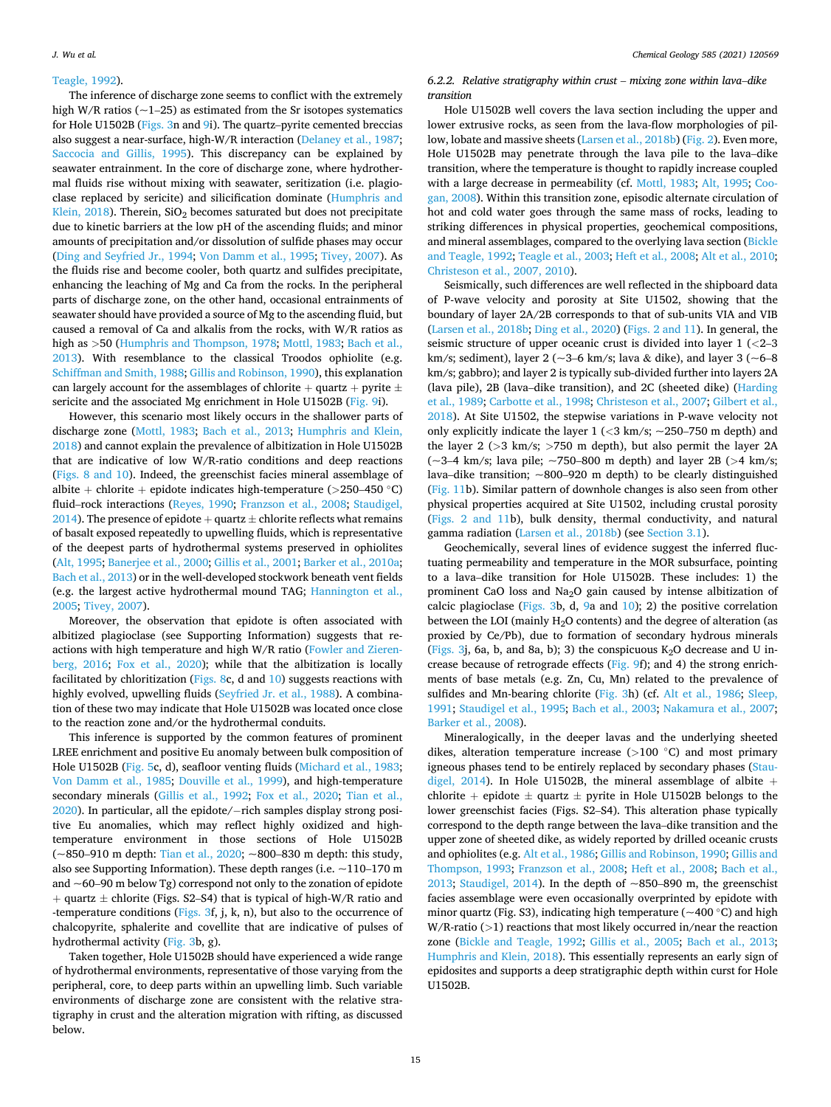#### <span id="page-14-0"></span>[Teagle, 1992](#page-17-0)).

The inference of discharge zone seems to conflict with the extremely high W/R ratios ( $\sim$ 1–25) as estimated from the Sr isotopes systematics for Hole U1502B [\(Figs. 3](#page-5-0)n and [9](#page-11-0)i). The quartz–pyrite cemented breccias also suggest a near-surface, high-W/R interaction [\(Delaney et al., 1987](#page-17-0); [Saccocia and Gillis, 1995\)](#page-18-0). This discrepancy can be explained by seawater entrainment. In the core of discharge zone, where hydrothermal fluids rise without mixing with seawater, seritization (i.e. plagioclase replaced by sericite) and silicification dominate [\(Humphris and](#page-18-0)  Klein,  $2018$ ). Therein,  $SiO<sub>2</sub>$  becomes saturated but does not precipitate due to kinetic barriers at the low pH of the ascending fluids; and minor amounts of precipitation and/or dissolution of sulfide phases may occur ([Ding and Seyfried Jr., 1994](#page-17-0); [Von Damm et al., 1995;](#page-19-0) [Tivey, 2007](#page-18-0)). As the fluids rise and become cooler, both quartz and sulfides precipitate, enhancing the leaching of Mg and Ca from the rocks. In the peripheral parts of discharge zone, on the other hand, occasional entrainments of seawater should have provided a source of Mg to the ascending fluid, but caused a removal of Ca and alkalis from the rocks, with W/R ratios as high as *>*50 ([Humphris and Thompson, 1978](#page-18-0); [Mottl, 1983;](#page-18-0) [Bach et al.,](#page-17-0)  [2013\)](#page-17-0). With resemblance to the classical Troodos ophiolite (e.g. [Schiffman and Smith, 1988](#page-18-0); [Gillis and Robinson, 1990\)](#page-17-0), this explanation can largely account for the assemblages of chlorite  $+$  quartz  $+$  pyrite  $\pm$ sericite and the associated Mg enrichment in Hole U1502B [\(Fig. 9](#page-11-0)i).

However, this scenario most likely occurs in the shallower parts of discharge zone [\(Mottl, 1983;](#page-18-0) [Bach et al., 2013;](#page-17-0) [Humphris and Klein,](#page-18-0)  [2018\)](#page-18-0) and cannot explain the prevalence of albitization in Hole U1502B that are indicative of low W/R-ratio conditions and deep reactions ([Figs. 8 and 10](#page-10-0)). Indeed, the greenschist facies mineral assemblage of albite + chlorite + epidote indicates high-temperature (*>*250–450 ◦C) fluid–rock interactions ([Reyes, 1990](#page-18-0); [Franzson et al., 2008](#page-17-0); [Staudigel,](#page-18-0)  [2014\)](#page-18-0). The presence of epidote + quartz  $\pm$  chlorite reflects what remains of basalt exposed repeatedly to upwelling fluids, which is representative of the deepest parts of hydrothermal systems preserved in ophiolites ([Alt, 1995](#page-16-0); [Banerjee et al., 2000](#page-17-0); [Gillis et al., 2001](#page-17-0); [Barker et al., 2010a](#page-17-0); [Bach et al., 2013](#page-17-0)) or in the well-developed stockwork beneath vent fields (e.g. the largest active hydrothermal mound TAG; [Hannington et al.,](#page-17-0)  [2005;](#page-17-0) [Tivey, 2007](#page-18-0)).

Moreover, the observation that epidote is often associated with albitized plagioclase (see Supporting Information) suggests that reactions with high temperature and high W/R ratio ([Fowler and Zieren](#page-17-0)[berg, 2016;](#page-17-0) [Fox et al., 2020\)](#page-17-0); while that the albitization is locally facilitated by chloritization [\(Figs. 8](#page-10-0)c, d and  $10$ ) suggests reactions with highly evolved, upwelling fluids [\(Seyfried Jr. et al., 1988](#page-18-0)). A combination of these two may indicate that Hole U1502B was located once close to the reaction zone and/or the hydrothermal conduits.

This inference is supported by the common features of prominent LREE enrichment and positive Eu anomaly between bulk composition of Hole U1502B [\(Fig. 5](#page-7-0)c, d), seafloor venting fluids ([Michard et al., 1983](#page-18-0); [Von Damm et al., 1985;](#page-19-0) [Douville et al., 1999\)](#page-17-0), and high-temperature secondary minerals ([Gillis et al., 1992;](#page-17-0) [Fox et al., 2020;](#page-17-0) [Tian et al.,](#page-18-0)  [2020\)](#page-18-0). In particular, all the epidote/− rich samples display strong positive Eu anomalies, which may reflect highly oxidized and hightemperature environment in those sections of Hole U1502B (~850–910 m depth: [Tian et al., 2020](#page-18-0); ~800–830 m depth: this study, also see Supporting Information). These depth ranges (i.e. ~110–170 m and  $\sim$  60–90 m below Tg) correspond not only to the zonation of epidote + quartz  $\pm$  chlorite (Figs. S2–S4) that is typical of high-W/R ratio and -temperature conditions ([Figs. 3](#page-5-0)f, j, k, n), but also to the occurrence of chalcopyrite, sphalerite and covellite that are indicative of pulses of hydrothermal activity [\(Fig. 3](#page-5-0)b, g).

Taken together, Hole U1502B should have experienced a wide range of hydrothermal environments, representative of those varying from the peripheral, core, to deep parts within an upwelling limb. Such variable environments of discharge zone are consistent with the relative stratigraphy in crust and the alteration migration with rifting, as discussed below.

*6.2.2. Relative stratigraphy within crust* – *mixing zone within lava*–*dike transition* 

Hole U1502B well covers the lava section including the upper and lower extrusive rocks, as seen from the lava-flow morphologies of pillow, lobate and massive sheets ([Larsen et al., 2018b\)](#page-18-0) [\(Fig. 2\)](#page-2-0). Even more, Hole U1502B may penetrate through the lava pile to the lava–dike transition, where the temperature is thought to rapidly increase coupled with a large decrease in permeability (cf. [Mottl, 1983](#page-18-0); [Alt, 1995;](#page-16-0) [Coo](#page-17-0)[gan, 2008\)](#page-17-0). Within this transition zone, episodic alternate circulation of hot and cold water goes through the same mass of rocks, leading to striking differences in physical properties, geochemical compositions, and mineral assemblages, compared to the overlying lava section [\(Bickle](#page-17-0)  [and Teagle, 1992](#page-17-0); [Teagle et al., 2003](#page-18-0); [Heft et al., 2008; Alt et al., 2010](#page-17-0); [Christeson et al., 2007, 2010\)](#page-17-0).

Seismically, such differences are well reflected in the shipboard data of P-wave velocity and porosity at Site U1502, showing that the boundary of layer 2A/2B corresponds to that of sub-units VIA and VIB ([Larsen et al., 2018b;](#page-18-0) [Ding et al., 2020\)](#page-17-0) [\(Figs. 2 and 11](#page-2-0)). In general, the seismic structure of upper oceanic crust is divided into layer 1 (*<*2–3 km/s; sediment), layer 2 ( $\sim$ 3–6 km/s; lava & dike), and layer 3 ( $\sim$ 6–8 km/s; gabbro); and layer 2 is typically sub-divided further into layers 2A (lava pile), 2B (lava–dike transition), and 2C (sheeted dike) ([Harding](#page-17-0)  [et al., 1989; Carbotte et al., 1998](#page-17-0); [Christeson et al., 2007; Gilbert et al.,](#page-17-0)  [2018\)](#page-17-0). At Site U1502, the stepwise variations in P-wave velocity not only explicitly indicate the layer 1 (*<*3 km/s; ~250–750 m depth) and the layer 2 (*>*3 km/s; *>*750 m depth), but also permit the layer 2A (~3–4 km/s; lava pile; ~750–800 m depth) and layer 2B (*>*4 km/s; lava–dike transition;  $\sim$ 800–920 m depth) to be clearly distinguished ([Fig. 11b](#page-15-0)). Similar pattern of downhole changes is also seen from other physical properties acquired at Site U1502, including crustal porosity ([Figs. 2 and 11b](#page-2-0)), bulk density, thermal conductivity, and natural gamma radiation [\(Larsen et al., 2018b](#page-18-0)) (see [Section 3.1](#page-4-0)).

Geochemically, several lines of evidence suggest the inferred fluctuating permeability and temperature in the MOR subsurface, pointing to a lava–dike transition for Hole U1502B. These includes: 1) the prominent CaO loss and Na2O gain caused by intense albitization of calcic plagioclase ([Figs. 3b](#page-5-0), d, [9a](#page-11-0) and [10](#page-12-0)); 2) the positive correlation between the LOI (mainly H2O contents) and the degree of alteration (as proxied by Ce/Pb), due to formation of secondary hydrous minerals ([Figs. 3](#page-5-0)j, 6a, b, and 8a, b); 3) the conspicuous  $K_2O$  decrease and U increase because of retrograde effects [\(Fig. 9f](#page-11-0)); and 4) the strong enrichments of base metals (e.g. Zn, Cu, Mn) related to the prevalence of sulfides and Mn-bearing chlorite ([Fig. 3h](#page-5-0)) (cf. [Alt et al., 1986](#page-17-0); [Sleep,](#page-18-0)  [1991; Staudigel et al., 1995](#page-18-0); [Bach et al., 2003;](#page-17-0) [Nakamura et al., 2007](#page-18-0); [Barker et al., 2008](#page-17-0)).

Mineralogically, in the deeper lavas and the underlying sheeted dikes, alteration temperature increase (*>*100 ◦C) and most primary igneous phases tend to be entirely replaced by secondary phases ([Stau](#page-18-0)[digel, 2014](#page-18-0)). In Hole U1502B, the mineral assemblage of albite  $+$ chlorite + epidote  $\pm$  quartz  $\pm$  pyrite in Hole U1502B belongs to the lower greenschist facies (Figs. S2–S4). This alteration phase typically correspond to the depth range between the lava–dike transition and the upper zone of sheeted dike, as widely reported by drilled oceanic crusts and ophiolites (e.g. [Alt et al., 1986; Gillis and Robinson, 1990](#page-17-0); [Gillis and](#page-17-0)  [Thompson, 1993;](#page-17-0) [Franzson et al., 2008;](#page-17-0) [Heft et al., 2008](#page-17-0); [Bach et al.,](#page-17-0)  [2013;](#page-17-0) [Staudigel, 2014\)](#page-18-0). In the depth of  $\sim$ 850–890 m, the greenschist facies assemblage were even occasionally overprinted by epidote with minor quartz (Fig. S3), indicating high temperature ( $\sim$ 400 °C) and high W/R-ratio (*>*1) reactions that most likely occurred in/near the reaction zone [\(Bickle and Teagle, 1992;](#page-17-0) [Gillis et al., 2005](#page-17-0); [Bach et al., 2013](#page-17-0); [Humphris and Klein, 2018](#page-18-0)). This essentially represents an early sign of epidosites and supports a deep stratigraphic depth within curst for Hole U1502B.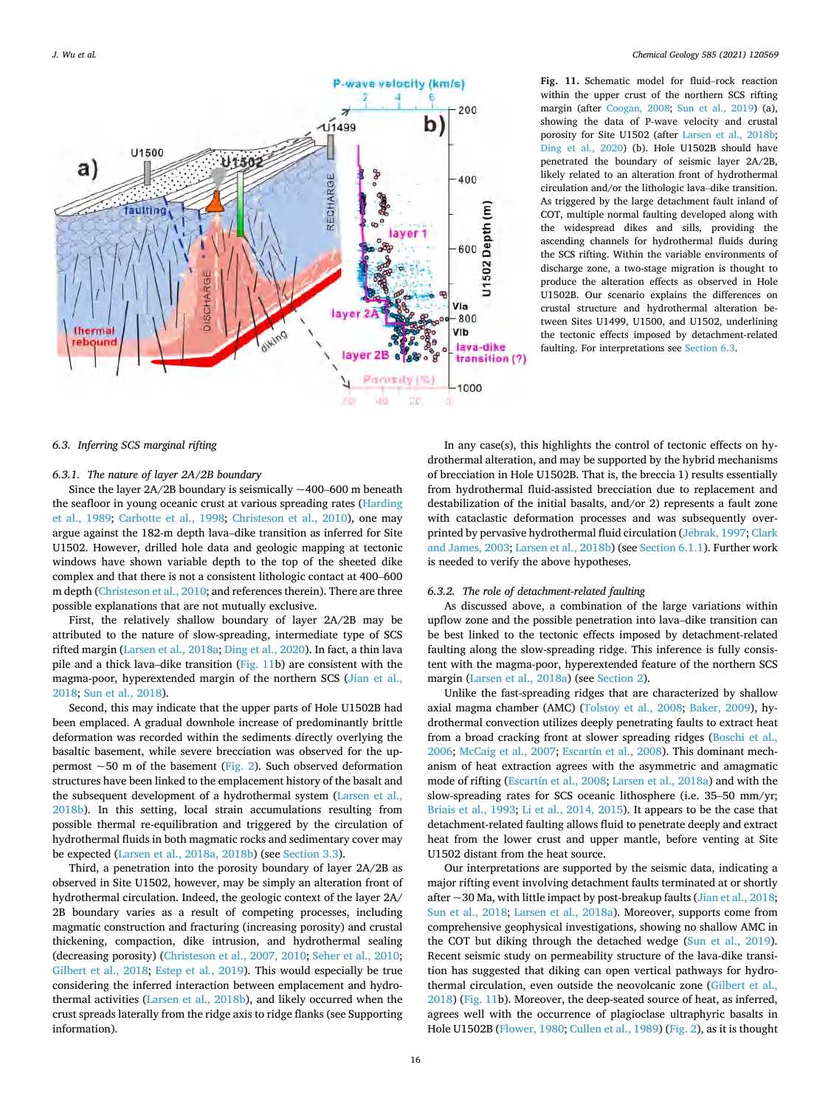*J. Wu et al.* 

<span id="page-15-0"></span>

**Fig. 11.** Schematic model for fluid–rock reaction within the upper crust of the northern SCS rifting margin (after [Coogan, 2008](#page-17-0); [Sun et al., 2019](#page-18-0)) (a), showing the data of P-wave velocity and crustal porosity for Site U1502 (after [Larsen et al., 2018b;](#page-18-0) [Ding et al., 2020\)](#page-17-0) (b). Hole U1502B should have penetrated the boundary of seismic layer 2A/2B, likely related to an alteration front of hydrothermal circulation and/or the lithologic lava–dike transition. As triggered by the large detachment fault inland of COT, multiple normal faulting developed along with the widespread dikes and sills, providing the ascending channels for hydrothermal fluids during the SCS rifting. Within the variable environments of discharge zone, a two-stage migration is thought to produce the alteration effects as observed in Hole U1502B. Our scenario explains the differences on crustal structure and hydrothermal alteration between Sites U1499, U1500, and U1502, underlining the tectonic effects imposed by detachment-related faulting. For interpretations see Section 6.3.

# *6.3. Inferring SCS marginal rifting*

#### *6.3.1. The nature of layer 2A/2B boundary*

Since the layer  $2A/2B$  boundary is seismically  $\sim$ 400–600 m beneath the seafloor in young oceanic crust at various spreading rates ([Harding](#page-17-0)  [et al., 1989;](#page-17-0) [Carbotte et al., 1998;](#page-17-0) [Christeson et al., 2010\)](#page-17-0), one may argue against the 182-m depth lava–dike transition as inferred for Site U1502. However, drilled hole data and geologic mapping at tectonic windows have shown variable depth to the top of the sheeted dike complex and that there is not a consistent lithologic contact at 400–600 m depth ([Christeson et al., 2010;](#page-17-0) and references therein). There are three possible explanations that are not mutually exclusive.

First, the relatively shallow boundary of layer 2A/2B may be attributed to the nature of slow-spreading, intermediate type of SCS rifted margin ([Larsen et al., 2018a;](#page-18-0) [Ding et al., 2020\)](#page-17-0). In fact, a thin lava pile and a thick lava–dike transition (Fig. 11b) are consistent with the magma-poor, hyperextended margin of the northern SCS ([Jian et al.,](#page-18-0)  [2018; Sun et al., 2018](#page-18-0)).

Second, this may indicate that the upper parts of Hole U1502B had been emplaced. A gradual downhole increase of predominantly brittle deformation was recorded within the sediments directly overlying the basaltic basement, while severe brecciation was observed for the uppermost  $\sim$  50 m of the basement ([Fig. 2](#page-2-0)). Such observed deformation structures have been linked to the emplacement history of the basalt and the subsequent development of a hydrothermal system ([Larsen et al.,](#page-18-0)  [2018b\)](#page-18-0). In this setting, local strain accumulations resulting from possible thermal re-equilibration and triggered by the circulation of hydrothermal fluids in both magmatic rocks and sedimentary cover may be expected ([Larsen et al., 2018a, 2018b\)](#page-18-0) (see [Section 3.3\)](#page-4-0).

Third, a penetration into the porosity boundary of layer 2A/2B as observed in Site U1502, however, may be simply an alteration front of hydrothermal circulation. Indeed, the geologic context of the layer 2A/ 2B boundary varies as a result of competing processes, including magmatic construction and fracturing (increasing porosity) and crustal thickening, compaction, dike intrusion, and hydrothermal sealing (decreasing porosity) ([Christeson et al., 2007, 2010;](#page-17-0) [Seher et al., 2010](#page-18-0); [Gilbert et al., 2018](#page-17-0); [Estep et al., 2019\)](#page-17-0). This would especially be true considering the inferred interaction between emplacement and hydrothermal activities [\(Larsen et al., 2018b](#page-18-0)), and likely occurred when the crust spreads laterally from the ridge axis to ridge flanks (see Supporting information).

In any case(s), this highlights the control of tectonic effects on hydrothermal alteration, and may be supported by the hybrid mechanisms of brecciation in Hole U1502B. That is, the breccia 1) results essentially from hydrothermal fluid-assisted brecciation due to replacement and destabilization of the initial basalts, and/or 2) represents a fault zone with cataclastic deformation processes and was subsequently overprinted by pervasive hydrothermal fluid circulation (Jébrak, 1997; Clark [and James, 2003](#page-17-0); [Larsen et al., 2018b](#page-18-0)) (see [Section 6.1.1](#page-9-0)). Further work is needed to verify the above hypotheses.

## *6.3.2. The role of detachment-related faulting*

As discussed above, a combination of the large variations within upflow zone and the possible penetration into lava–dike transition can be best linked to the tectonic effects imposed by detachment-related faulting along the slow-spreading ridge. This inference is fully consistent with the magma-poor, hyperextended feature of the northern SCS margin [\(Larsen et al., 2018a\)](#page-18-0) (see [Section 2](#page-3-0)).

Unlike the fast-spreading ridges that are characterized by shallow axial magma chamber (AMC) ([Tolstoy et al., 2008](#page-19-0); [Baker, 2009\)](#page-17-0), hydrothermal convection utilizes deeply penetrating faults to extract heat from a broad cracking front at slower spreading ridges [\(Boschi et al.,](#page-17-0)  [2006;](#page-17-0) [McCaig et al., 2007;](#page-18-0) [Escartín et al., 2008\)](#page-17-0). This dominant mechanism of heat extraction agrees with the asymmetric and amagmatic mode of rifting [\(Escartín et al., 2008;](#page-17-0) [Larsen et al., 2018a](#page-18-0)) and with the slow-spreading rates for SCS oceanic lithosphere (i.e. 35–50 mm/yr; [Briais et al., 1993;](#page-17-0) [Li et al., 2014, 2015\)](#page-18-0). It appears to be the case that detachment-related faulting allows fluid to penetrate deeply and extract heat from the lower crust and upper mantle, before venting at Site U1502 distant from the heat source.

Our interpretations are supported by the seismic data, indicating a major rifting event involving detachment faults terminated at or shortly after  $\sim$  30 Ma, with little impact by post-breakup faults [\(Jian et al., 2018](#page-18-0); [Sun et al., 2018;](#page-18-0) [Larsen et al., 2018a\)](#page-18-0). Moreover, supports come from comprehensive geophysical investigations, showing no shallow AMC in the COT but diking through the detached wedge ([Sun et al., 2019](#page-18-0)). Recent seismic study on permeability structure of the lava-dike transition has suggested that diking can open vertical pathways for hydrothermal circulation, even outside the neovolcanic zone ([Gilbert et al.,](#page-17-0)  [2018\)](#page-17-0) (Fig. 11b). Moreover, the deep-seated source of heat, as inferred, agrees well with the occurrence of plagioclase ultraphyric basalts in Hole U1502B [\(Flower, 1980; Cullen et al., 1989](#page-17-0)) [\(Fig. 2\)](#page-2-0), as it is thought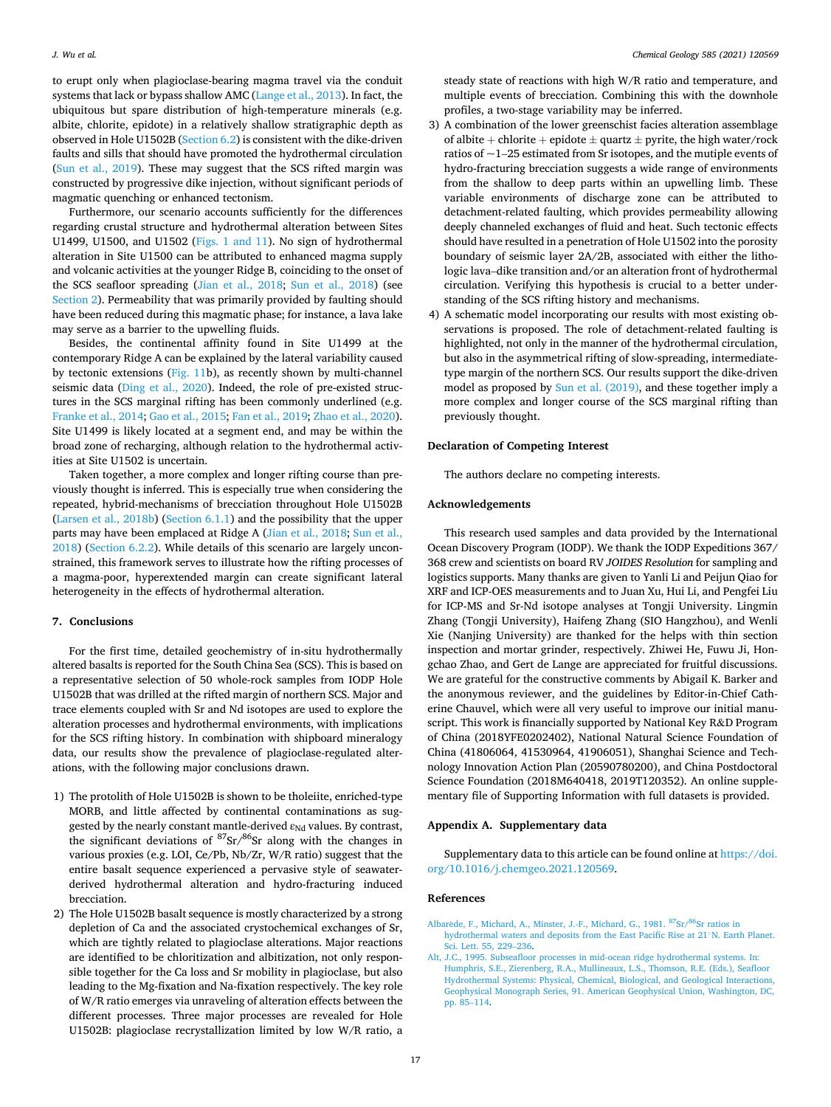<span id="page-16-0"></span>to erupt only when plagioclase-bearing magma travel via the conduit systems that lack or bypass shallow AMC [\(Lange et al., 2013\)](#page-18-0). In fact, the ubiquitous but spare distribution of high-temperature minerals (e.g. albite, chlorite, epidote) in a relatively shallow stratigraphic depth as observed in Hole U1502B ([Section 6.2](#page-13-0)) is consistent with the dike-driven faults and sills that should have promoted the hydrothermal circulation ([Sun et al., 2019](#page-18-0)). These may suggest that the SCS rifted margin was constructed by progressive dike injection, without significant periods of magmatic quenching or enhanced tectonism.

Furthermore, our scenario accounts sufficiently for the differences regarding crustal structure and hydrothermal alteration between Sites U1499, U1500, and U1502 ([Figs. 1 and 11](#page-1-0)). No sign of hydrothermal alteration in Site U1500 can be attributed to enhanced magma supply and volcanic activities at the younger Ridge B, coinciding to the onset of the SCS seafloor spreading ([Jian et al., 2018;](#page-18-0) [Sun et al., 2018](#page-18-0)) (see [Section 2\)](#page-3-0). Permeability that was primarily provided by faulting should have been reduced during this magmatic phase; for instance, a lava lake may serve as a barrier to the upwelling fluids.

Besides, the continental affinity found in Site U1499 at the contemporary Ridge A can be explained by the lateral variability caused by tectonic extensions ([Fig. 11b](#page-15-0)), as recently shown by multi-channel seismic data ([Ding et al., 2020\)](#page-17-0). Indeed, the role of pre-existed structures in the SCS marginal rifting has been commonly underlined (e.g. [Franke et al., 2014; Gao et al., 2015](#page-17-0); [Fan et al., 2019;](#page-17-0) [Zhao et al., 2020](#page-19-0)). Site U1499 is likely located at a segment end, and may be within the broad zone of recharging, although relation to the hydrothermal activities at Site U1502 is uncertain.

Taken together, a more complex and longer rifting course than previously thought is inferred. This is especially true when considering the repeated, hybrid-mechanisms of brecciation throughout Hole U1502B ([Larsen et al., 2018b\)](#page-18-0) [\(Section 6.1.1](#page-9-0)) and the possibility that the upper parts may have been emplaced at Ridge A [\(Jian et al., 2018; Sun et al.,](#page-18-0)  [2018\)](#page-18-0) [\(Section 6.2.2](#page-14-0)). While details of this scenario are largely unconstrained, this framework serves to illustrate how the rifting processes of a magma-poor, hyperextended margin can create significant lateral heterogeneity in the effects of hydrothermal alteration.

#### **7. Conclusions**

For the first time, detailed geochemistry of in-situ hydrothermally altered basalts is reported for the South China Sea (SCS). This is based on a representative selection of 50 whole-rock samples from IODP Hole U1502B that was drilled at the rifted margin of northern SCS. Major and trace elements coupled with Sr and Nd isotopes are used to explore the alteration processes and hydrothermal environments, with implications for the SCS rifting history. In combination with shipboard mineralogy data, our results show the prevalence of plagioclase-regulated alterations, with the following major conclusions drawn.

- 1) The protolith of Hole U1502B is shown to be tholeiite, enriched-type MORB, and little affected by continental contaminations as suggested by the nearly constant mantle-derived  $\varepsilon_{Nd}$  values. By contrast, the significant deviations of 87Sr/86Sr along with the changes in various proxies (e.g. LOI, Ce/Pb, Nb/Zr, W/R ratio) suggest that the entire basalt sequence experienced a pervasive style of seawaterderived hydrothermal alteration and hydro-fracturing induced brecciation.
- 2) The Hole U1502B basalt sequence is mostly characterized by a strong depletion of Ca and the associated crystochemical exchanges of Sr, which are tightly related to plagioclase alterations. Major reactions are identified to be chloritization and albitization, not only responsible together for the Ca loss and Sr mobility in plagioclase, but also leading to the Mg-fixation and Na-fixation respectively. The key role of W/R ratio emerges via unraveling of alteration effects between the different processes. Three major processes are revealed for Hole U1502B: plagioclase recrystallization limited by low W/R ratio, a

steady state of reactions with high W/R ratio and temperature, and multiple events of brecciation. Combining this with the downhole profiles, a two-stage variability may be inferred.

- 3) A combination of the lower greenschist facies alteration assemblage of albite + chlorite + epidote  $\pm$  quartz  $\pm$  pyrite, the high water/rock ratios of ~1–25 estimated from Sr isotopes, and the mutiple events of hydro-fracturing brecciation suggests a wide range of environments from the shallow to deep parts within an upwelling limb. These variable environments of discharge zone can be attributed to detachment-related faulting, which provides permeability allowing deeply channeled exchanges of fluid and heat. Such tectonic effects should have resulted in a penetration of Hole U1502 into the porosity boundary of seismic layer 2A/2B, associated with either the lithologic lava–dike transition and/or an alteration front of hydrothermal circulation. Verifying this hypothesis is crucial to a better understanding of the SCS rifting history and mechanisms.
- 4) A schematic model incorporating our results with most existing observations is proposed. The role of detachment-related faulting is highlighted, not only in the manner of the hydrothermal circulation, but also in the asymmetrical rifting of slow-spreading, intermediatetype margin of the northern SCS. Our results support the dike-driven model as proposed by [Sun et al. \(2019\)](#page-18-0), and these together imply a more complex and longer course of the SCS marginal rifting than previously thought.

## **Declaration of Competing Interest**

The authors declare no competing interests.

## **Acknowledgements**

This research used samples and data provided by the International Ocean Discovery Program (IODP). We thank the IODP Expeditions 367/ 368 crew and scientists on board RV *JOIDES Resolution* for sampling and logistics supports. Many thanks are given to Yanli Li and Peijun Qiao for XRF and ICP-OES measurements and to Juan Xu, Hui Li, and Pengfei Liu for ICP-MS and Sr-Nd isotope analyses at Tongji University. Lingmin Zhang (Tongji University), Haifeng Zhang (SIO Hangzhou), and Wenli Xie (Nanjing University) are thanked for the helps with thin section inspection and mortar grinder, respectively. Zhiwei He, Fuwu Ji, Hongchao Zhao, and Gert de Lange are appreciated for fruitful discussions. We are grateful for the constructive comments by Abigail K. Barker and the anonymous reviewer, and the guidelines by Editor-in-Chief Catherine Chauvel, which were all very useful to improve our initial manuscript. This work is financially supported by National Key R&D Program of China (2018YFE0202402), National Natural Science Foundation of China (41806064, 41530964, 41906051), Shanghai Science and Technology Innovation Action Plan (20590780200), and China Postdoctoral Science Foundation (2018M640418, 2019T120352). An online supplementary file of Supporting Information with full datasets is provided.

## **Appendix A. Supplementary data**

Supplementary data to this article can be found online at [https://doi.](https://doi.org/10.1016/j.chemgeo.2021.120569)  [org/10.1016/j.chemgeo.2021.120569.](https://doi.org/10.1016/j.chemgeo.2021.120569)

#### **References**

- Albarède, F., Michard, A., Minster, J.-F., Michard, G., 1981. <sup>87</sup>Sr/<sup>86</sup>Sr ratios in [hydrothermal waters and deposits from the East Pacific Rise at 21](http://refhub.elsevier.com/S0009-2541(21)00512-X/rf0005)◦N. Earth Planet. [Sci. Lett. 55, 229](http://refhub.elsevier.com/S0009-2541(21)00512-X/rf0005)–236.
- [Alt, J.C., 1995. Subseafloor processes in mid-ocean ridge hydrothermal systems. In:](http://refhub.elsevier.com/S0009-2541(21)00512-X/rf0010)  [Humphris, S.E., Zierenberg, R.A., Mullineaux, L.S., Thomson, R.E. \(Eds.\), Seafloor](http://refhub.elsevier.com/S0009-2541(21)00512-X/rf0010)  [Hydrothermal Systems: Physical, Chemical, Biological, and Geological Interactions,](http://refhub.elsevier.com/S0009-2541(21)00512-X/rf0010)  [Geophysical Monograph Series, 91. American Geophysical Union, Washington, DC,](http://refhub.elsevier.com/S0009-2541(21)00512-X/rf0010) [pp. 85](http://refhub.elsevier.com/S0009-2541(21)00512-X/rf0010)–114.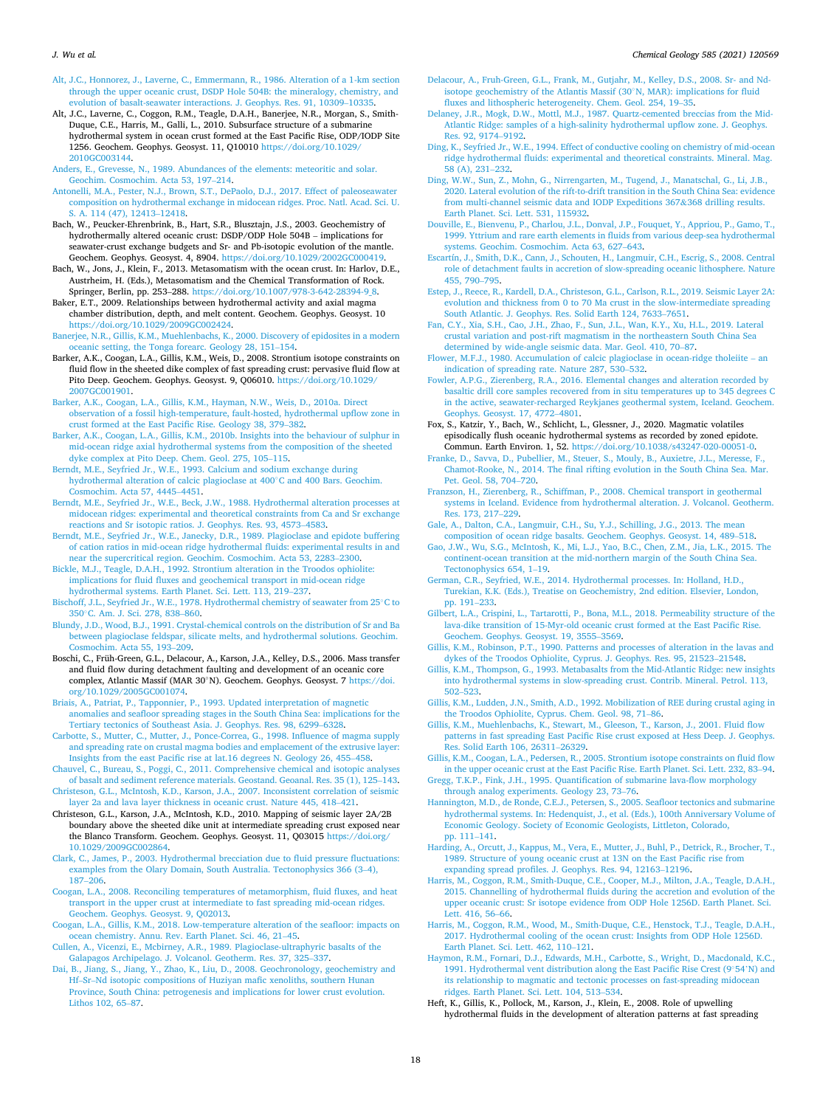#### <span id="page-17-0"></span>*J. Wu et al.*

- [Alt, J.C., Honnorez, J., Laverne, C., Emmermann, R., 1986. Alteration of a 1-km section](http://refhub.elsevier.com/S0009-2541(21)00512-X/rf0015)  [through the upper oceanic crust, DSDP Hole 504B: the mineralogy, chemistry, and](http://refhub.elsevier.com/S0009-2541(21)00512-X/rf0015)  [evolution of basalt-seawater interactions. J. Geophys. Res. 91, 10309](http://refhub.elsevier.com/S0009-2541(21)00512-X/rf0015)–10335.
- Alt, J.C., Laverne, C., Coggon, R.M., Teagle, D.A.H., Banerjee, N.R., Morgan, S., Smith-Duque, C.E., Harris, M., Galli, L., 2010. Subsurface structure of a submarine hydrothermal system in ocean crust formed at the East Pacific Rise, ODP/IODP Site 1256. Geochem. Geophys. Geosyst. 11, Q10010 [https://doi.org/10.1029/](https://doi.org/10.1029/2010GC003144) [2010GC003144.](https://doi.org/10.1029/2010GC003144)
- [Anders, E., Grevesse, N., 1989. Abundances of the elements: meteoritic and solar.](http://refhub.elsevier.com/S0009-2541(21)00512-X/rf0025)  [Geochim. Cosmochim. Acta 53, 197](http://refhub.elsevier.com/S0009-2541(21)00512-X/rf0025)–214.
- [Antonelli, M.A., Pester, N.J., Brown, S.T., DePaolo, D.J., 2017. Effect of paleoseawater](http://refhub.elsevier.com/S0009-2541(21)00512-X/rf0030)  [composition on hydrothermal exchange in midocean ridges. Proc. Natl. Acad. Sci. U.](http://refhub.elsevier.com/S0009-2541(21)00512-X/rf0030)  [S. A. 114 \(47\), 12413](http://refhub.elsevier.com/S0009-2541(21)00512-X/rf0030)–12418.
- Bach, W., Peucker-Ehrenbrink, B., Hart, S.R., Blusztajn, J.S., 2003. Geochemistry of hydrothermally altered oceanic crust: DSDP/ODP Hole 504B – implications for seawater-crust exchange budgets and Sr- and Pb-isotopic evolution of the mantle. Geochem. Geophys. Geosyst. 4, 8904. <https://doi.org/10.1029/2002GC000419>.
- Bach, W., Jons, J., Klein, F., 2013. Metasomatism with the ocean crust. In: Harlov, D.E., Austrheim, H. (Eds.), Metasomatism and the Chemical Transformation of Rock. Springer, Berlin, pp. 253–288. [https://doi.org/10.1007/978-3-642-28394-9\\_8](https://doi.org/10.1007/978-3-642-28394-9_8).
- Baker, E.T., 2009. Relationships between hydrothermal activity and axial magma chamber distribution, depth, and melt content. Geochem. Geophys. Geosyst. 10 [https://doi.org/10.1029/2009GC002424.](https://doi.org/10.1029/2009GC002424)
- [Banerjee, N.R., Gillis, K.M., Muehlenbachs, K., 2000. Discovery of epidosites in a modern](http://refhub.elsevier.com/S0009-2541(21)00512-X/rf0050)  [oceanic setting, the Tonga forearc. Geology 28, 151](http://refhub.elsevier.com/S0009-2541(21)00512-X/rf0050)–154.
- Barker, A.K., Coogan, L.A., Gillis, K.M., Weis, D., 2008. Strontium isotope constraints on fluid flow in the sheeted dike complex of fast spreading crust: pervasive fluid flow at Pito Deep. Geochem. Geophys. Geosyst. 9, Q06010. [https://doi.org/10.1029/](https://doi.org/10.1029/2007GC001901)  [2007GC001901.](https://doi.org/10.1029/2007GC001901)
- [Barker, A.K., Coogan, L.A., Gillis, K.M., Hayman, N.W., Weis, D., 2010a. Direct](http://refhub.elsevier.com/S0009-2541(21)00512-X/rf0060)  [observation of a fossil high-temperature, fault-hosted, hydrothermal upflow zone in](http://refhub.elsevier.com/S0009-2541(21)00512-X/rf0060)  [crust formed at the East Pacific Rise. Geology 38, 379](http://refhub.elsevier.com/S0009-2541(21)00512-X/rf0060)–382.
- [Barker, A.K., Coogan, L.A., Gillis, K.M., 2010b. Insights into the behaviour of sulphur in](http://refhub.elsevier.com/S0009-2541(21)00512-X/rf0065)  [mid-ocean ridge axial hydrothermal systems from the composition of the sheeted](http://refhub.elsevier.com/S0009-2541(21)00512-X/rf0065) [dyke complex at Pito Deep. Chem. Geol. 275, 105](http://refhub.elsevier.com/S0009-2541(21)00512-X/rf0065)–115.
- [Berndt, M.E., Seyfried Jr., W.E., 1993. Calcium and sodium exchange during](http://refhub.elsevier.com/S0009-2541(21)00512-X/rf0070)  [hydrothermal alteration of calcic plagioclase at 400](http://refhub.elsevier.com/S0009-2541(21)00512-X/rf0070)◦C and 400 Bars. Geochim. [Cosmochim. Acta 57, 4445](http://refhub.elsevier.com/S0009-2541(21)00512-X/rf0070)–4451.
- [Berndt, M.E., Seyfried Jr., W.E., Beck, J.W., 1988. Hydrothermal alteration processes at](http://refhub.elsevier.com/S0009-2541(21)00512-X/rf0075)  [midocean ridges: experimental and theoretical constraints from Ca and Sr exchange](http://refhub.elsevier.com/S0009-2541(21)00512-X/rf0075)  [reactions and Sr isotopic ratios. J. Geophys. Res. 93, 4573](http://refhub.elsevier.com/S0009-2541(21)00512-X/rf0075)–4583.
- [Berndt, M.E., Seyfried Jr., W.E., Janecky, D.R., 1989. Plagioclase and epidote buffering](http://refhub.elsevier.com/S0009-2541(21)00512-X/rf0080)  [of cation ratios in mid-ocean ridge hydrothermal fluids: experimental results in and](http://refhub.elsevier.com/S0009-2541(21)00512-X/rf0080)  [near the supercritical region. Geochim. Cosmochim. Acta 53, 2283](http://refhub.elsevier.com/S0009-2541(21)00512-X/rf0080)–2300.
- [Bickle, M.J., Teagle, D.A.H., 1992. Strontium alteration in the Troodos ophiolite:](http://refhub.elsevier.com/S0009-2541(21)00512-X/rf0085)  [implications for fluid fluxes and geochemical transport in mid-ocean ridge](http://refhub.elsevier.com/S0009-2541(21)00512-X/rf0085)  [hydrothermal systems. Earth Planet. Sci. Lett. 113, 219](http://refhub.elsevier.com/S0009-2541(21)00512-X/rf0085)–237.
- [Bischoff, J.L., Seyfried Jr., W.E., 1978. Hydrothermal chemistry of seawater from 25](http://refhub.elsevier.com/S0009-2541(21)00512-X/rf0090)◦C to 350◦[C. Am. J. Sci. 278, 838](http://refhub.elsevier.com/S0009-2541(21)00512-X/rf0090)–860.
- [Blundy, J.D., Wood, B.J., 1991. Crystal-chemical controls on the distribution of Sr and Ba](http://refhub.elsevier.com/S0009-2541(21)00512-X/rf0095)  [between plagioclase feldspar, silicate melts, and hydrothermal solutions. Geochim.](http://refhub.elsevier.com/S0009-2541(21)00512-X/rf0095) [Cosmochim. Acta 55, 193](http://refhub.elsevier.com/S0009-2541(21)00512-X/rf0095)–209.
- Boschi, C., Früh-Green, G.L., Delacour, A., Karson, J.A., Kelley, D.S., 2006. Mass transfer and fluid flow during detachment faulting and development of an oceanic core complex, Atlantic Massif (MAR 30◦N). Geochem. Geophys. Geosyst. 7 [https://doi.](https://doi.org/10.1029/2005GC001074) [org/10.1029/2005GC001074.](https://doi.org/10.1029/2005GC001074)
- [Briais, A., Patriat, P., Tapponnier, P., 1993. Updated interpretation of magnetic](http://refhub.elsevier.com/S0009-2541(21)00512-X/rf0105) [anomalies and seafloor spreading stages in the South China Sea: implications for the](http://refhub.elsevier.com/S0009-2541(21)00512-X/rf0105)  [Tertiary tectonics of Southeast Asia. J. Geophys. Res. 98, 6299](http://refhub.elsevier.com/S0009-2541(21)00512-X/rf0105)–6328.
- [Carbotte, S., Mutter, C., Mutter, J., Ponce-Correa, G., 1998. Influence of magma supply](http://refhub.elsevier.com/S0009-2541(21)00512-X/rf0110)  [and spreading rate on crustal magma bodies and emplacement of the extrusive layer:](http://refhub.elsevier.com/S0009-2541(21)00512-X/rf0110)  [Insights from the east Pacific rise at lat.16 degrees N. Geology 26, 455](http://refhub.elsevier.com/S0009-2541(21)00512-X/rf0110)–458.
- [Chauvel, C., Bureau, S., Poggi, C., 2011. Comprehensive chemical and isotopic analyses](http://refhub.elsevier.com/S0009-2541(21)00512-X/rf0115)  [of basalt and sediment reference materials. Geostand. Geoanal. Res. 35 \(1\), 125](http://refhub.elsevier.com/S0009-2541(21)00512-X/rf0115)–143.
- [Christeson, G.L., McIntosh, K.D., Karson, J.A., 2007. Inconsistent correlation of seismic](http://refhub.elsevier.com/S0009-2541(21)00512-X/rf0120)  [layer 2a and lava layer thickness in oceanic crust. Nature 445, 418](http://refhub.elsevier.com/S0009-2541(21)00512-X/rf0120)–421.
- Christeson, G.L., Karson, J.A., McIntosh, K.D., 2010. Mapping of seismic layer 2A/2B boundary above the sheeted dike unit at intermediate spreading crust exposed near the Blanco Transform. Geochem. Geophys. Geosyst. 11, Q03015 https://doi.org/ [10.1029/2009GC002864](https://doi.org/10.1029/2009GC002864).
- [Clark, C., James, P., 2003. Hydrothermal brecciation due to fluid pressure fluctuations:](http://refhub.elsevier.com/S0009-2541(21)00512-X/rf0130)  [examples from the Olary Domain, South Australia. Tectonophysics 366 \(3](http://refhub.elsevier.com/S0009-2541(21)00512-X/rf0130)–4), 187–[206](http://refhub.elsevier.com/S0009-2541(21)00512-X/rf0130).
- [Coogan, L.A., 2008. Reconciling temperatures of metamorphism, fluid fluxes, and heat](http://refhub.elsevier.com/S0009-2541(21)00512-X/rf0135)  [transport in the upper crust at intermediate to fast spreading mid-ocean ridges.](http://refhub.elsevier.com/S0009-2541(21)00512-X/rf0135) [Geochem. Geophys. Geosyst. 9, Q02013](http://refhub.elsevier.com/S0009-2541(21)00512-X/rf0135).
- [Coogan, L.A., Gillis, K.M., 2018. Low-temperature alteration of the seafloor: impacts on](http://refhub.elsevier.com/S0009-2541(21)00512-X/rf0140)  [ocean chemistry. Annu. Rev. Earth Planet. Sci. 46, 21](http://refhub.elsevier.com/S0009-2541(21)00512-X/rf0140)–45.
- [Cullen, A., Vicenzi, E., Mcbirney, A.R., 1989. Plagioclase-ultraphyric basalts of the](http://refhub.elsevier.com/S0009-2541(21)00512-X/rf0145) [Galapagos Archipelago. J. Volcanol. Geotherm. Res. 37, 325](http://refhub.elsevier.com/S0009-2541(21)00512-X/rf0145)–337.
- [Dai, B., Jiang, S., Jiang, Y., Zhao, K., Liu, D., 2008. Geochronology, geochemistry and](http://refhub.elsevier.com/S0009-2541(21)00512-X/optcLC2yPcc66)  Hf–Sr–[Nd isotopic compositions of Huziyan mafic xenoliths, southern Hunan](http://refhub.elsevier.com/S0009-2541(21)00512-X/optcLC2yPcc66)  [Province, South China: petrogenesis and implications for lower crust evolution.](http://refhub.elsevier.com/S0009-2541(21)00512-X/optcLC2yPcc66) [Lithos 102, 65](http://refhub.elsevier.com/S0009-2541(21)00512-X/optcLC2yPcc66)–87.
- [Delacour, A., Fruh-Green, G.L., Frank, M., Gutjahr, M., Kelley, D.S., 2008. Sr- and Nd](http://refhub.elsevier.com/S0009-2541(21)00512-X/rf0150)[isotope geochemistry of the Atlantis Massif \(30](http://refhub.elsevier.com/S0009-2541(21)00512-X/rf0150)◦N, MAR): implications for fluid [fluxes and lithospheric heterogeneity. Chem. Geol. 254, 19](http://refhub.elsevier.com/S0009-2541(21)00512-X/rf0150)–35.
- [Delaney, J.R., Mogk, D.W., Mottl, M.J., 1987. Quartz-cemented breccias from the Mid-](http://refhub.elsevier.com/S0009-2541(21)00512-X/rf0155)[Atlantic Ridge: samples of a high-salinity hydrothermal upflow zone. J. Geophys.](http://refhub.elsevier.com/S0009-2541(21)00512-X/rf0155) [Res. 92, 9174](http://refhub.elsevier.com/S0009-2541(21)00512-X/rf0155)–9192.
- [Ding, K., Seyfried Jr., W.E., 1994. Effect of conductive cooling on chemistry of mid-ocean](http://refhub.elsevier.com/S0009-2541(21)00512-X/rf0160)  [ridge hydrothermal fluids: experimental and theoretical constraints. Mineral. Mag.](http://refhub.elsevier.com/S0009-2541(21)00512-X/rf0160)  [58 \(A\), 231](http://refhub.elsevier.com/S0009-2541(21)00512-X/rf0160)–232.
- [Ding, W.W., Sun, Z., Mohn, G., Nirrengarten, M., Tugend, J., Manatschal, G., Li, J.B.,](http://refhub.elsevier.com/S0009-2541(21)00512-X/rf0165) [2020. Lateral evolution of the rift-to-drift transition in the South China Sea: evidence](http://refhub.elsevier.com/S0009-2541(21)00512-X/rf0165)  [from multi-channel seismic data and IODP Expeditions 367](http://refhub.elsevier.com/S0009-2541(21)00512-X/rf0165)&368 drilling results. [Earth Planet. Sci. Lett. 531, 115932.](http://refhub.elsevier.com/S0009-2541(21)00512-X/rf0165)
- [Douville, E., Bienvenu, P., Charlou, J.L., Donval, J.P., Fouquet, Y., Appriou, P., Gamo, T.,](http://refhub.elsevier.com/S0009-2541(21)00512-X/rf0170)  [1999. Yttrium and rare earth elements in fluids from various deep-sea hydrothermal](http://refhub.elsevier.com/S0009-2541(21)00512-X/rf0170)  [systems. Geochim. Cosmochim. Acta 63, 627](http://refhub.elsevier.com/S0009-2541(21)00512-X/rf0170)–643.
- [Escartín, J., Smith, D.K., Cann, J., Schouten, H., Langmuir, C.H., Escrig, S., 2008. Central](http://refhub.elsevier.com/S0009-2541(21)00512-X/rf0175)  [role of detachment faults in accretion of slow-spreading oceanic lithosphere. Nature](http://refhub.elsevier.com/S0009-2541(21)00512-X/rf0175)  [455, 790](http://refhub.elsevier.com/S0009-2541(21)00512-X/rf0175)–795.
- [Estep, J., Reece, R., Kardell, D.A., Christeson, G.L., Carlson, R.L., 2019. Seismic Layer 2A:](http://refhub.elsevier.com/S0009-2541(21)00512-X/rf0180)  [evolution and thickness from 0 to 70 Ma crust in the slow-intermediate spreading](http://refhub.elsevier.com/S0009-2541(21)00512-X/rf0180) [South Atlantic. J. Geophys. Res. Solid Earth 124, 7633](http://refhub.elsevier.com/S0009-2541(21)00512-X/rf0180)–7651.
- [Fan, C.Y., Xia, S.H., Cao, J.H., Zhao, F., Sun, J.L., Wan, K.Y., Xu, H.L., 2019. Lateral](http://refhub.elsevier.com/S0009-2541(21)00512-X/rf0185)  [crustal variation and post-rift magmatism in the northeastern South China Sea](http://refhub.elsevier.com/S0009-2541(21)00512-X/rf0185) [determined by wide-angle seismic data. Mar. Geol. 410, 70](http://refhub.elsevier.com/S0009-2541(21)00512-X/rf0185)–87.
- [Flower, M.F.J., 1980. Accumulation of calcic plagioclase in ocean-ridge tholeiite](http://refhub.elsevier.com/S0009-2541(21)00512-X/rf0190)  an [indication of spreading rate. Nature 287, 530](http://refhub.elsevier.com/S0009-2541(21)00512-X/rf0190)–532.
- [Fowler, A.P.G., Zierenberg, R.A., 2016. Elemental changes and alteration recorded by](http://refhub.elsevier.com/S0009-2541(21)00512-X/rf0195) [basaltic drill core samples recovered from in situ temperatures up to 345 degrees C](http://refhub.elsevier.com/S0009-2541(21)00512-X/rf0195)  [in the active, seawater-recharged Reykjanes geothermal system, Iceland. Geochem.](http://refhub.elsevier.com/S0009-2541(21)00512-X/rf0195) [Geophys. Geosyst. 17, 4772](http://refhub.elsevier.com/S0009-2541(21)00512-X/rf0195)–4801.
- Fox, S., Katzir, Y., Bach, W., Schlicht, L., Glessner, J., 2020. Magmatic volatiles episodically flush oceanic hydrothermal systems as recorded by zoned epidote. Commun. Earth Environ. 1, 52. [https://doi.org/10.1038/s43247-020-00051-0.](https://doi.org/10.1038/s43247-020-00051-0)
- [Franke, D., Savva, D., Pubellier, M., Steuer, S., Mouly, B., Auxietre, J.L., Meresse, F.,](http://refhub.elsevier.com/S0009-2541(21)00512-X/rf0205)  [Chamot-Rooke, N., 2014. The final rifting evolution in the South China Sea. Mar.](http://refhub.elsevier.com/S0009-2541(21)00512-X/rf0205) [Pet. Geol. 58, 704](http://refhub.elsevier.com/S0009-2541(21)00512-X/rf0205)–720.
- [Franzson, H., Zierenberg, R., Schiffman, P., 2008. Chemical transport in geothermal](http://refhub.elsevier.com/S0009-2541(21)00512-X/rf0210) [systems in Iceland. Evidence from hydrothermal alteration. J. Volcanol. Geotherm.](http://refhub.elsevier.com/S0009-2541(21)00512-X/rf0210) [Res. 173, 217](http://refhub.elsevier.com/S0009-2541(21)00512-X/rf0210)–229.
- [Gale, A., Dalton, C.A., Langmuir, C.H., Su, Y.J., Schilling, J.G., 2013. The mean](http://refhub.elsevier.com/S0009-2541(21)00512-X/rf0215) [composition of ocean ridge basalts. Geochem. Geophys. Geosyst. 14, 489](http://refhub.elsevier.com/S0009-2541(21)00512-X/rf0215)–518.
- [Gao, J.W., Wu, S.G., McIntosh, K., Mi, L.J., Yao, B.C., Chen, Z.M., Jia, L.K., 2015. The](http://refhub.elsevier.com/S0009-2541(21)00512-X/rf0220)  [continent-ocean transition at the mid-northern margin of the South China Sea.](http://refhub.elsevier.com/S0009-2541(21)00512-X/rf0220)  [Tectonophysics 654, 1](http://refhub.elsevier.com/S0009-2541(21)00512-X/rf0220)–19.
- [German, C.R., Seyfried, W.E., 2014. Hydrothermal processes. In: Holland, H.D.,](http://refhub.elsevier.com/S0009-2541(21)00512-X/rf0225) [Turekian, K.K. \(Eds.\), Treatise on Geochemistry, 2nd edition. Elsevier, London,](http://refhub.elsevier.com/S0009-2541(21)00512-X/rf0225)  [pp. 191](http://refhub.elsevier.com/S0009-2541(21)00512-X/rf0225)–233.
- [Gilbert, L.A., Crispini, L., Tartarotti, P., Bona, M.L., 2018. Permeability structure of the](http://refhub.elsevier.com/S0009-2541(21)00512-X/rf0230)  [lava-dike transition of 15-Myr-old oceanic crust formed at the East Pacific Rise.](http://refhub.elsevier.com/S0009-2541(21)00512-X/rf0230)  [Geochem. Geophys. Geosyst. 19, 3555](http://refhub.elsevier.com/S0009-2541(21)00512-X/rf0230)–3569.
- [Gillis, K.M., Robinson, P.T., 1990. Patterns and processes of alteration in the lavas and](http://refhub.elsevier.com/S0009-2541(21)00512-X/rf0235)
- [dykes of the Troodos Ophiolite, Cyprus. J. Geophys. Res. 95, 21523](http://refhub.elsevier.com/S0009-2541(21)00512-X/rf0235)–21548. [Gillis, K.M., Thompson, G., 1993. Metabasalts from the Mid-Atlantic Ridge: new insights](http://refhub.elsevier.com/S0009-2541(21)00512-X/rf0240)  [into hydrothermal systems in slow-spreading crust. Contrib. Mineral. Petrol. 113,](http://refhub.elsevier.com/S0009-2541(21)00512-X/rf0240)  502–[523](http://refhub.elsevier.com/S0009-2541(21)00512-X/rf0240).
- [Gillis, K.M., Ludden, J.N., Smith, A.D., 1992. Mobilization of REE during crustal aging in](http://refhub.elsevier.com/S0009-2541(21)00512-X/rf0245)  [the Troodos Ophiolite, Cyprus. Chem. Geol. 98, 71](http://refhub.elsevier.com/S0009-2541(21)00512-X/rf0245)–86.
- [Gillis, K.M., Muehlenbachs, K., Stewart, M., Gleeson, T., Karson, J., 2001. Fluid flow](http://refhub.elsevier.com/S0009-2541(21)00512-X/rf0250) [patterns in fast spreading East Pacific Rise crust exposed at Hess Deep. J. Geophys.](http://refhub.elsevier.com/S0009-2541(21)00512-X/rf0250)  [Res. Solid Earth 106, 26311](http://refhub.elsevier.com/S0009-2541(21)00512-X/rf0250)–26329.
- [Gillis, K.M., Coogan, L.A., Pedersen, R., 2005. Strontium isotope constraints on fluid flow](http://refhub.elsevier.com/S0009-2541(21)00512-X/rf0255)  [in the upper oceanic crust at the East Pacific Rise. Earth Planet. Sci. Lett. 232, 83](http://refhub.elsevier.com/S0009-2541(21)00512-X/rf0255)–94.

[Gregg, T.K.P., Fink, J.H., 1995. Quantification of submarine lava-flow morphology](http://refhub.elsevier.com/S0009-2541(21)00512-X/rf0260)  [through analog experiments. Geology 23, 73](http://refhub.elsevier.com/S0009-2541(21)00512-X/rf0260)–76.

- [Hannington, M.D., de Ronde, C.E.J., Petersen, S., 2005. Seafloor tectonics and submarine](http://refhub.elsevier.com/S0009-2541(21)00512-X/rf0265)  [hydrothermal systems. In: Hedenquist, J., et al. \(Eds.\), 100th Anniversary Volume of](http://refhub.elsevier.com/S0009-2541(21)00512-X/rf0265)  [Economic Geology. Society of Economic Geologists, Littleton, Colorado,](http://refhub.elsevier.com/S0009-2541(21)00512-X/rf0265) [pp. 111](http://refhub.elsevier.com/S0009-2541(21)00512-X/rf0265)–141.
- [Harding, A., Orcutt, J., Kappus, M., Vera, E., Mutter, J., Buhl, P., Detrick, R., Brocher, T.,](http://refhub.elsevier.com/S0009-2541(21)00512-X/opti54kseoqhd)  [1989. Structure of young oceanic crust at 13N on the East Pacific rise from](http://refhub.elsevier.com/S0009-2541(21)00512-X/opti54kseoqhd)  [expanding spread profiles. J. Geophys. Res. 94, 12163](http://refhub.elsevier.com/S0009-2541(21)00512-X/opti54kseoqhd)–12196.
- [Harris, M., Coggon, R.M., Smith-Duque, C.E., Cooper, M.J., Milton, J.A., Teagle, D.A.H.,](http://refhub.elsevier.com/S0009-2541(21)00512-X/rf0270)  [2015. Channelling of hydrothermal fluids during the accretion and evolution of the](http://refhub.elsevier.com/S0009-2541(21)00512-X/rf0270)  [upper oceanic crust: Sr isotope evidence from ODP Hole 1256D. Earth Planet. Sci.](http://refhub.elsevier.com/S0009-2541(21)00512-X/rf0270) [Lett. 416, 56](http://refhub.elsevier.com/S0009-2541(21)00512-X/rf0270)–66.
- [Harris, M., Coggon, R.M., Wood, M., Smith-Duque, C.E., Henstock, T.J., Teagle, D.A.H.,](http://refhub.elsevier.com/S0009-2541(21)00512-X/rf0275)  [2017. Hydrothermal cooling of the ocean crust: Insights from ODP Hole 1256D.](http://refhub.elsevier.com/S0009-2541(21)00512-X/rf0275)  [Earth Planet. Sci. Lett. 462, 110](http://refhub.elsevier.com/S0009-2541(21)00512-X/rf0275)–121.
- [Haymon, R.M., Fornari, D.J., Edwards, M.H., Carbotte, S., Wright, D., Macdonald, K.C.,](http://refhub.elsevier.com/S0009-2541(21)00512-X/rf0280)  [1991. Hydrothermal vent distribution along the East Pacific Rise Crest \(9](http://refhub.elsevier.com/S0009-2541(21)00512-X/rf0280)◦54'N) and [its relationship to magmatic and tectonic processes on fast-spreading midocean](http://refhub.elsevier.com/S0009-2541(21)00512-X/rf0280)  [ridges. Earth Planet. Sci. Lett. 104, 513](http://refhub.elsevier.com/S0009-2541(21)00512-X/rf0280)–534.
- Heft, K., Gillis, K., Pollock, M., Karson, J., Klein, E., 2008. Role of upwelling hydrothermal fluids in the development of alteration patterns at fast spreading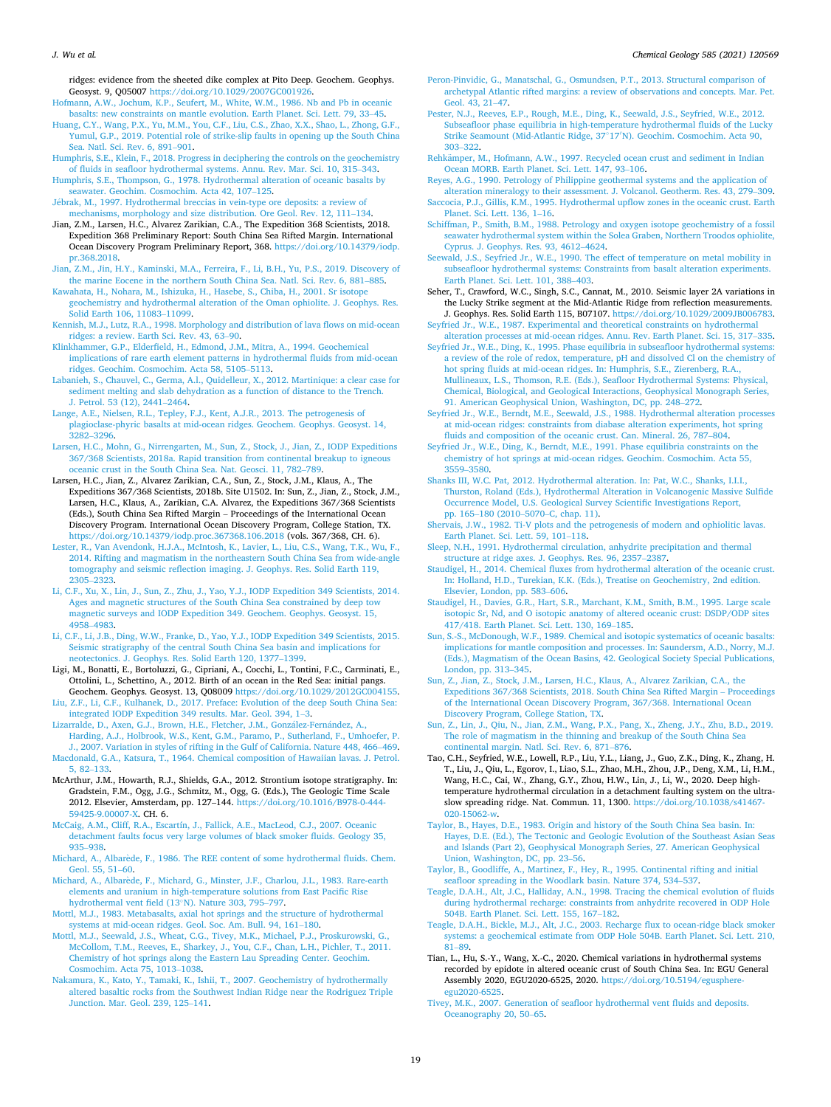<span id="page-18-0"></span>ridges: evidence from the sheeted dike complex at Pito Deep. Geochem. Geophys. Geosyst. 9, Q05007 [https://doi.org/10.1029/2007GC001926.](https://doi.org/10.1029/2007GC001926)

[Hofmann, A.W., Jochum, K.P., Seufert, M., White, W.M., 1986. Nb and Pb in oceanic](http://refhub.elsevier.com/S0009-2541(21)00512-X/rf0290) [basalts: new constraints on mantle evolution. Earth Planet. Sci. Lett. 79, 33](http://refhub.elsevier.com/S0009-2541(21)00512-X/rf0290)–45.

- [Huang, C.Y., Wang, P.X., Yu, M.M., You, C.F., Liu, C.S., Zhao, X.X., Shao, L., Zhong, G.F.,](http://refhub.elsevier.com/S0009-2541(21)00512-X/rf0295)  [Yumul, G.P., 2019. Potential role of strike-slip faults in opening up the South China](http://refhub.elsevier.com/S0009-2541(21)00512-X/rf0295)  [Sea. Natl. Sci. Rev. 6, 891](http://refhub.elsevier.com/S0009-2541(21)00512-X/rf0295)–901.
- [Humphris, S.E., Klein, F., 2018. Progress in deciphering the controls on the geochemistry](http://refhub.elsevier.com/S0009-2541(21)00512-X/rf0300)  [of fluids in seafloor hydrothermal systems. Annu. Rev. Mar. Sci. 10, 315](http://refhub.elsevier.com/S0009-2541(21)00512-X/rf0300)–343. [Humphris, S.E., Thompson, G., 1978. Hydrothermal alteration of oceanic basalts by](http://refhub.elsevier.com/S0009-2541(21)00512-X/rf0305)
- [seawater. Geochim. Cosmochim. Acta 42, 107](http://refhub.elsevier.com/S0009-2541(21)00512-X/rf0305)–125. Jébrak, M., 1997. Hydrothermal breccias in vein-type ore deposits: a review of

[mechanisms, morphology and size distribution. Ore Geol. Rev. 12, 111](http://refhub.elsevier.com/S0009-2541(21)00512-X/rf0315)–134. Jian, Z.M., Larsen, H.C., Alvarez Zarikian, C.A., The Expedition 368 Scientists, 2018.

Expedition 368 Preliminary Report: South China Sea Rifted Margin. International Ocean Discovery Program Preliminary Report, 368. [https://doi.org/10.14379/iodp.](https://doi.org/10.14379/iodp.pr.368.2018)  [pr.368.2018](https://doi.org/10.14379/iodp.pr.368.2018).

[Jian, Z.M., Jin, H.Y., Kaminski, M.A., Ferreira, F., Li, B.H., Yu, P.S., 2019. Discovery of](http://refhub.elsevier.com/S0009-2541(21)00512-X/rf0325)  [the marine Eocene in the northern South China Sea. Natl. Sci. Rev. 6, 881](http://refhub.elsevier.com/S0009-2541(21)00512-X/rf0325)–885.

[Kawahata, H., Nohara, M., Ishizuka, H., Hasebe, S., Chiba, H., 2001. Sr isotope](http://refhub.elsevier.com/S0009-2541(21)00512-X/rf0335)  [geochemistry and hydrothermal alteration of the Oman ophiolite. J. Geophys. Res.](http://refhub.elsevier.com/S0009-2541(21)00512-X/rf0335)  [Solid Earth 106, 11083](http://refhub.elsevier.com/S0009-2541(21)00512-X/rf0335)–11099.

[Kennish, M.J., Lutz, R.A., 1998. Morphology and distribution of lava flows on mid-ocean](http://refhub.elsevier.com/S0009-2541(21)00512-X/rf0340)  [ridges: a review. Earth Sci. Rev. 43, 63](http://refhub.elsevier.com/S0009-2541(21)00512-X/rf0340)–90.

[Klinkhammer, G.P., Elderfield, H., Edmond, J.M., Mitra, A., 1994. Geochemical](http://refhub.elsevier.com/S0009-2541(21)00512-X/rf0345) [implications of rare earth element patterns in hydrothermal fluids from mid-ocean](http://refhub.elsevier.com/S0009-2541(21)00512-X/rf0345) [ridges. Geochim. Cosmochim. Acta 58, 5105](http://refhub.elsevier.com/S0009-2541(21)00512-X/rf0345)–5113.

[Labanieh, S., Chauvel, C., Germa, A.l., Quidelleur, X., 2012. Martinique: a clear case for](http://refhub.elsevier.com/S0009-2541(21)00512-X/rf0350)  [sediment melting and slab dehydration as a function of distance to the Trench.](http://refhub.elsevier.com/S0009-2541(21)00512-X/rf0350) [J. Petrol. 53 \(12\), 2441](http://refhub.elsevier.com/S0009-2541(21)00512-X/rf0350)–2464.

[Lange, A.E., Nielsen, R.L., Tepley, F.J., Kent, A.J.R., 2013. The petrogenesis of](http://refhub.elsevier.com/S0009-2541(21)00512-X/rf0355)  [plagioclase-phyric basalts at mid-ocean ridges. Geochem. Geophys. Geosyst. 14,](http://refhub.elsevier.com/S0009-2541(21)00512-X/rf0355)  [3282](http://refhub.elsevier.com/S0009-2541(21)00512-X/rf0355)–3296.

[Larsen, H.C., Mohn, G., Nirrengarten, M., Sun, Z., Stock, J., Jian, Z., IODP Expeditions](http://refhub.elsevier.com/S0009-2541(21)00512-X/rf0360)  [367/368 Scientists, 2018a. Rapid transition from continental breakup to igneous](http://refhub.elsevier.com/S0009-2541(21)00512-X/rf0360) [oceanic crust in the South China Sea. Nat. Geosci. 11, 782](http://refhub.elsevier.com/S0009-2541(21)00512-X/rf0360)–789.

Larsen, H.C., Jian, Z., Alvarez Zarikian, C.A., Sun, Z., Stock, J.M., Klaus, A., The Expeditions 367/368 Scientists, 2018b. Site U1502. In: Sun, Z., Jian, Z., Stock, J.M., Larsen, H.C., Klaus, A., Zarikian, C.A. Alvarez, the Expeditions 367/368 Scientists (Eds.), South China Sea Rifted Margin – Proceedings of the International Ocean Discovery Program. International Ocean Discovery Program, College Station, TX. <https://doi.org/10.14379/iodp.proc.367368.106.2018>(vols. 367/368, CH. 6).

[Lester, R., Van Avendonk, H.J.A., McIntosh, K., Lavier, L., Liu, C.S., Wang, T.K., Wu, F.,](http://refhub.elsevier.com/S0009-2541(21)00512-X/rf0370)  [2014. Rifting and magmatism in the northeastern South China Sea from wide-angle](http://refhub.elsevier.com/S0009-2541(21)00512-X/rf0370)  [tomography and seismic reflection imaging. J. Geophys. Res. Solid Earth 119,](http://refhub.elsevier.com/S0009-2541(21)00512-X/rf0370)  [2305](http://refhub.elsevier.com/S0009-2541(21)00512-X/rf0370)–2323.

[Li, C.F., Xu, X., Lin, J., Sun, Z., Zhu, J., Yao, Y.J., IODP Expedition 349 Scientists, 2014.](http://refhub.elsevier.com/S0009-2541(21)00512-X/rf0375)  [Ages and magnetic structures of the South China Sea constrained by deep tow](http://refhub.elsevier.com/S0009-2541(21)00512-X/rf0375) [magnetic surveys and IODP Expedition 349. Geochem. Geophys. Geosyst. 15,](http://refhub.elsevier.com/S0009-2541(21)00512-X/rf0375) [4958](http://refhub.elsevier.com/S0009-2541(21)00512-X/rf0375)–4983.

[Li, C.F., Li, J.B., Ding, W.W., Franke, D., Yao, Y.J., IODP Expedition 349 Scientists, 2015.](http://refhub.elsevier.com/S0009-2541(21)00512-X/rf0380)  [Seismic stratigraphy of the central South China Sea basin and implications for](http://refhub.elsevier.com/S0009-2541(21)00512-X/rf0380)  [neotectonics. J. Geophys. Res. Solid Earth 120, 1377](http://refhub.elsevier.com/S0009-2541(21)00512-X/rf0380)–1399.

Ligi, M., Bonatti, E., Bortoluzzi, G., Cipriani, A., Cocchi, L., Tontini, F.C., Carminati, E., Ottolini, L., Schettino, A., 2012. Birth of an ocean in the Red Sea: initial pangs. Geochem. Geophys. Geosyst. 13, Q08009 [https://doi.org/10.1029/2012GC004155.](https://doi.org/10.1029/2012GC004155)

[Liu, Z.F., Li, C.F., Kulhanek, D., 2017. Preface: Evolution of the deep South China Sea:](http://refhub.elsevier.com/S0009-2541(21)00512-X/rf0390)  [integrated IODP Expedition 349 results. Mar. Geol. 394, 1](http://refhub.elsevier.com/S0009-2541(21)00512-X/rf0390)–3.

Lizarralde, D., Axen, G.J., Brown, H.E., Fletcher, J.M., González-Fernández, A., [Harding, A.J., Holbrook, W.S., Kent, G.M., Paramo, P., Sutherland, F., Umhoefer, P.](http://refhub.elsevier.com/S0009-2541(21)00512-X/rf0395) 

[J., 2007. Variation in styles of rifting in the Gulf of California. Nature 448, 466](http://refhub.elsevier.com/S0009-2541(21)00512-X/rf0395)–469. [Macdonald, G.A., Katsura, T., 1964. Chemical composition of Hawaiian lavas. J. Petrol.](http://refhub.elsevier.com/S0009-2541(21)00512-X/rf0405)  [5, 82](http://refhub.elsevier.com/S0009-2541(21)00512-X/rf0405)–133.

McArthur, J.M., Howarth, R.J., Shields, G.A., 2012. Strontium isotope stratigraphy. In: Gradstein, F.M., Ogg, J.G., Schmitz, M., Ogg, G. (Eds.), The Geologic Time Scale 2012. Elsevier, Amsterdam, pp. 127–144. [https://doi.org/10.1016/B978-0-444-](https://doi.org/10.1016/B978-0-444-59425-9.00007-X)  [59425-9.00007-X.](https://doi.org/10.1016/B978-0-444-59425-9.00007-X) CH. 6.

[McCaig, A.M., Cliff, R.A., Escartín, J., Fallick, A.E., MacLeod, C.J., 2007. Oceanic](http://refhub.elsevier.com/S0009-2541(21)00512-X/rf0415)  [detachment faults focus very large volumes of black smoker fluids. Geology 35,](http://refhub.elsevier.com/S0009-2541(21)00512-X/rf0415)  935–[938](http://refhub.elsevier.com/S0009-2541(21)00512-X/rf0415).

Michard, A., Albarède, F., 1986. The REE content of some hydrothermal fluids. Chem. [Geol. 55, 51](http://refhub.elsevier.com/S0009-2541(21)00512-X/rf0420)–60.

Michard, A., Albarède, F., Michard, G., Minster, J.F., Charlou, J.L., 1983. Rare-earth [elements and uranium in high-temperature solutions from East Pacific Rise](http://refhub.elsevier.com/S0009-2541(21)00512-X/rf0425)  [hydrothermal vent field \(13](http://refhub.elsevier.com/S0009-2541(21)00512-X/rf0425)◦N). Nature 303, 795–797.

[Mottl, M.J., 1983. Metabasalts, axial hot springs and the structure of hydrothermal](http://refhub.elsevier.com/S0009-2541(21)00512-X/rf0430)  [systems at mid-ocean ridges. Geol. Soc. Am. Bull. 94, 161](http://refhub.elsevier.com/S0009-2541(21)00512-X/rf0430)–180.

[Mottl, M.J., Seewald, J.S., Wheat, C.G., Tivey, M.K., Michael, P.J., Proskurowski, G.,](http://refhub.elsevier.com/S0009-2541(21)00512-X/rf0435) [McCollom, T.M., Reeves, E., Sharkey, J., You, C.F., Chan, L.H., Pichler, T., 2011.](http://refhub.elsevier.com/S0009-2541(21)00512-X/rf0435) [Chemistry of hot springs along the Eastern Lau Spreading Center. Geochim.](http://refhub.elsevier.com/S0009-2541(21)00512-X/rf0435) [Cosmochim. Acta 75, 1013](http://refhub.elsevier.com/S0009-2541(21)00512-X/rf0435)–1038.

[Nakamura, K., Kato, Y., Tamaki, K., Ishii, T., 2007. Geochemistry of hydrothermally](http://refhub.elsevier.com/S0009-2541(21)00512-X/rf0440) [altered basaltic rocks from the Southwest Indian Ridge near the Rodriguez Triple](http://refhub.elsevier.com/S0009-2541(21)00512-X/rf0440)  [Junction. Mar. Geol. 239, 125](http://refhub.elsevier.com/S0009-2541(21)00512-X/rf0440)–141.

- [Peron-Pinvidic, G., Manatschal, G., Osmundsen, P.T., 2013. Structural comparison of](http://refhub.elsevier.com/S0009-2541(21)00512-X/rf0445)  [archetypal Atlantic rifted margins: a review of observations and concepts. Mar. Pet.](http://refhub.elsevier.com/S0009-2541(21)00512-X/rf0445)  [Geol. 43, 21](http://refhub.elsevier.com/S0009-2541(21)00512-X/rf0445)–47.
- [Pester, N.J., Reeves, E.P., Rough, M.E., Ding, K., Seewald, J.S., Seyfried, W.E., 2012.](http://refhub.elsevier.com/S0009-2541(21)00512-X/rf0450) [Subseafloor phase equilibria in high-temperature hydrothermal fluids of the Lucky](http://refhub.elsevier.com/S0009-2541(21)00512-X/rf0450) [Strike Seamount \(Mid-Atlantic Ridge, 37](http://refhub.elsevier.com/S0009-2541(21)00512-X/rf0450)◦17′ N). Geochim. Cosmochim. Acta 90, 303–[322](http://refhub.elsevier.com/S0009-2541(21)00512-X/rf0450).

Rehkämper, M., Hofmann, A.W., 1997. Recycled ocean crust and sediment in Indian [Ocean MORB. Earth Planet. Sci. Lett. 147, 93](http://refhub.elsevier.com/S0009-2541(21)00512-X/rf0455)–106.

[Reyes, A.G., 1990. Petrology of Philippine geothermal systems and the application of](http://refhub.elsevier.com/S0009-2541(21)00512-X/rf0460)  [alteration mineralogy to their assessment. J. Volcanol. Geotherm. Res. 43, 279](http://refhub.elsevier.com/S0009-2541(21)00512-X/rf0460)–309.

[Saccocia, P.J., Gillis, K.M., 1995. Hydrothermal upflow zones in the oceanic crust. Earth](http://refhub.elsevier.com/S0009-2541(21)00512-X/rf0465)  [Planet. Sci. Lett. 136, 1](http://refhub.elsevier.com/S0009-2541(21)00512-X/rf0465)–16.

[Schiffman, P., Smith, B.M., 1988. Petrology and oxygen isotope geochemistry of a fossil](http://refhub.elsevier.com/S0009-2541(21)00512-X/rf0470)  [seawater hydrothermal system within the Solea Graben, Northern Troodos ophiolite,](http://refhub.elsevier.com/S0009-2541(21)00512-X/rf0470)  [Cyprus. J. Geophys. Res. 93, 4612](http://refhub.elsevier.com/S0009-2541(21)00512-X/rf0470)–4624.

[Seewald, J.S., Seyfried Jr., W.E., 1990. The effect of temperature on metal mobility in](http://refhub.elsevier.com/S0009-2541(21)00512-X/rf0475)  [subseafloor hydrothermal systems: Constraints from basalt alteration experiments.](http://refhub.elsevier.com/S0009-2541(21)00512-X/rf0475)  [Earth Planet. Sci. Lett. 101, 388](http://refhub.elsevier.com/S0009-2541(21)00512-X/rf0475)–403.

Seher, T., Crawford, W.C., Singh, S.C., Cannat, M., 2010. Seismic layer 2A variations in the Lucky Strike segment at the Mid-Atlantic Ridge from reflection measurements. J. Geophys. Res. Solid Earth 115, B07107. [https://doi.org/10.1029/2009JB006783.](https://doi.org/10.1029/2009JB006783)

[Seyfried Jr., W.E., 1987. Experimental and theoretical constraints on hydrothermal](http://refhub.elsevier.com/S0009-2541(21)00512-X/rf0485)  [alteration processes at mid-ocean ridges. Annu. Rev. Earth Planet. Sci. 15, 317](http://refhub.elsevier.com/S0009-2541(21)00512-X/rf0485)–335.

[Seyfried Jr., W.E., Ding, K., 1995. Phase equilibria in subseafloor hydrothermal systems:](http://refhub.elsevier.com/S0009-2541(21)00512-X/rf0490)  [a review of the role of redox, temperature, pH and dissolved Cl on the chemistry of](http://refhub.elsevier.com/S0009-2541(21)00512-X/rf0490)  [hot spring fluids at mid-ocean ridges. In: Humphris, S.E., Zierenberg, R.A.,](http://refhub.elsevier.com/S0009-2541(21)00512-X/rf0490)  [Mullineaux, L.S., Thomson, R.E. \(Eds.\), Seafloor Hydrothermal Systems: Physical,](http://refhub.elsevier.com/S0009-2541(21)00512-X/rf0490)  [Chemical, Biological, and Geological Interactions, Geophysical Monograph Series,](http://refhub.elsevier.com/S0009-2541(21)00512-X/rf0490)  [91. American Geophysical Union, Washington, DC, pp. 248](http://refhub.elsevier.com/S0009-2541(21)00512-X/rf0490)–272.

[Seyfried Jr., W.E., Berndt, M.E., Seewald, J.S., 1988. Hydrothermal alteration processes](http://refhub.elsevier.com/S0009-2541(21)00512-X/rf0495)  [at mid-ocean ridges: constraints from diabase alteration experiments, hot spring](http://refhub.elsevier.com/S0009-2541(21)00512-X/rf0495) [fluids and composition of the oceanic crust. Can. Mineral. 26, 787](http://refhub.elsevier.com/S0009-2541(21)00512-X/rf0495)–804.

[Seyfried Jr., W.E., Ding, K., Berndt, M.E., 1991. Phase equilibria constraints on the](http://refhub.elsevier.com/S0009-2541(21)00512-X/rf0500)  [chemistry of hot springs at mid-ocean ridges. Geochim. Cosmochim. Acta 55,](http://refhub.elsevier.com/S0009-2541(21)00512-X/rf0500) [3559](http://refhub.elsevier.com/S0009-2541(21)00512-X/rf0500)–3580.

[Shanks III, W.C. Pat, 2012. Hydrothermal alteration. In: Pat, W.C., Shanks, I.I.I.,](http://refhub.elsevier.com/S0009-2541(21)00512-X/rf0505)  [Thurston, Roland \(Eds.\), Hydrothermal Alteration in Volcanogenic Massive Sulfide](http://refhub.elsevier.com/S0009-2541(21)00512-X/rf0505) [Occurrence Model, U.S. Geological Survey Scientific Investigations Report,](http://refhub.elsevier.com/S0009-2541(21)00512-X/rf0505) pp. 165–180 (2010–5070–[C, chap. 11\).](http://refhub.elsevier.com/S0009-2541(21)00512-X/rf0505)

[Shervais, J.W., 1982. Ti-V plots and the petrogenesis of modern and ophiolitic lavas.](http://refhub.elsevier.com/S0009-2541(21)00512-X/rf0510)  [Earth Planet. Sci. Lett. 59, 101](http://refhub.elsevier.com/S0009-2541(21)00512-X/rf0510)–118.

[Sleep, N.H., 1991. Hydrothermal circulation, anhydrite precipitation and thermal](http://refhub.elsevier.com/S0009-2541(21)00512-X/rf0515)  [structure at ridge axes. J. Geophys. Res. 96, 2357](http://refhub.elsevier.com/S0009-2541(21)00512-X/rf0515)–2387.

[Staudigel, H., 2014. Chemical fluxes from hydrothermal alteration of the oceanic crust.](http://refhub.elsevier.com/S0009-2541(21)00512-X/rf0520)  [In: Holland, H.D., Turekian, K.K. \(Eds.\), Treatise on Geochemistry, 2nd edition.](http://refhub.elsevier.com/S0009-2541(21)00512-X/rf0520) [Elsevier, London, pp. 583](http://refhub.elsevier.com/S0009-2541(21)00512-X/rf0520)–606.

[Staudigel, H., Davies, G.R., Hart, S.R., Marchant, K.M., Smith, B.M., 1995. Large scale](http://refhub.elsevier.com/S0009-2541(21)00512-X/rf0525) [isotopic Sr, Nd, and O isotopic anatomy of altered oceanic crust: DSDP/ODP sites](http://refhub.elsevier.com/S0009-2541(21)00512-X/rf0525)  [417/418. Earth Planet. Sci. Lett. 130, 169](http://refhub.elsevier.com/S0009-2541(21)00512-X/rf0525)–185.

[Sun, S.-S., McDonough, W.F., 1989. Chemical and isotopic systematics of oceanic basalts:](http://refhub.elsevier.com/S0009-2541(21)00512-X/rf0530)  [implications for mantle composition and processes. In: Saundersm, A.D., Norry, M.J.](http://refhub.elsevier.com/S0009-2541(21)00512-X/rf0530)  [\(Eds.\), Magmatism of the Ocean Basins, 42. Geological Society Special Publications,](http://refhub.elsevier.com/S0009-2541(21)00512-X/rf0530)  [London, pp. 313](http://refhub.elsevier.com/S0009-2541(21)00512-X/rf0530)–345.

[Sun, Z., Jian, Z., Stock, J.M., Larsen, H.C., Klaus, A., Alvarez Zarikian, C.A., the](http://refhub.elsevier.com/S0009-2541(21)00512-X/rf0535) [Expeditions 367/368 Scientists, 2018. South China Sea Rifted Margin](http://refhub.elsevier.com/S0009-2541(21)00512-X/rf0535) – Proceedings [of the International Ocean Discovery Program, 367/368. International Ocean](http://refhub.elsevier.com/S0009-2541(21)00512-X/rf0535)  [Discovery Program, College Station, TX](http://refhub.elsevier.com/S0009-2541(21)00512-X/rf0535).

[Sun, Z., Lin, J., Qiu, N., Jian, Z.M., Wang, P.X., Pang, X., Zheng, J.Y., Zhu, B.D., 2019.](http://refhub.elsevier.com/S0009-2541(21)00512-X/rf0540)  The role of magmatism in the thinning and breakup of the South China Sea [continental margin. Natl. Sci. Rev. 6, 871](http://refhub.elsevier.com/S0009-2541(21)00512-X/rf0540)–876.

Tao, C.H., Seyfried, W.E., Lowell, R.P., Liu, Y.L., Liang, J., Guo, Z.K., Ding, K., Zhang, H. T., Liu, J., Qiu, L., Egorov, I., Liao, S.L., Zhao, M.H., Zhou, J.P., Deng, X.M., Li, H.M., Wang, H.C., Cai, W., Zhang, G.Y., Zhou, H.W., Lin, J., Li, W., 2020. Deep hightemperature hydrothermal circulation in a detachment faulting system on the ultraslow spreading ridge. Nat. Commun. 11, 1300. [https://doi.org/10.1038/s41467-](https://doi.org/10.1038/s41467-020-15062-w)  [020-15062-w](https://doi.org/10.1038/s41467-020-15062-w).

[Taylor, B., Hayes, D.E., 1983. Origin and history of the South China Sea basin. In:](http://refhub.elsevier.com/S0009-2541(21)00512-X/rf0555) [Hayes, D.E. \(Ed.\), The Tectonic and Geologic Evolution of the Southeast Asian Seas](http://refhub.elsevier.com/S0009-2541(21)00512-X/rf0555)  [and Islands \(Part 2\), Geophysical Monograph Series, 27. American Geophysical](http://refhub.elsevier.com/S0009-2541(21)00512-X/rf0555)  [Union, Washington, DC, pp. 23](http://refhub.elsevier.com/S0009-2541(21)00512-X/rf0555)–56.

[Taylor, B., Goodliffe, A., Martinez, F., Hey, R., 1995. Continental rifting and initial](http://refhub.elsevier.com/S0009-2541(21)00512-X/rf0560)  [seafloor spreading in the Woodlark basin. Nature 374, 534](http://refhub.elsevier.com/S0009-2541(21)00512-X/rf0560)–537.

[Teagle, D.A.H., Alt, J.C., Halliday, A.N., 1998. Tracing the chemical evolution of fluids](http://refhub.elsevier.com/S0009-2541(21)00512-X/rf0565) [during hydrothermal recharge: constraints from anhydrite recovered in ODP Hole](http://refhub.elsevier.com/S0009-2541(21)00512-X/rf0565)  [504B. Earth Planet. Sci. Lett. 155, 167](http://refhub.elsevier.com/S0009-2541(21)00512-X/rf0565)–182.

[Teagle, D.A.H., Bickle, M.J., Alt, J.C., 2003. Recharge flux to ocean-ridge black smoker](http://refhub.elsevier.com/S0009-2541(21)00512-X/rf0570)  [systems: a geochemical estimate from ODP Hole 504B. Earth Planet. Sci. Lett. 210,](http://refhub.elsevier.com/S0009-2541(21)00512-X/rf0570)  81–[89](http://refhub.elsevier.com/S0009-2541(21)00512-X/rf0570).

Tian, L., Hu, S.-Y., Wang, X.-C., 2020. Chemical variations in hydrothermal systems recorded by epidote in altered oceanic crust of South China Sea. In: EGU General Assembly 2020, EGU2020-6525, 2020. [https://doi.org/10.5194/egusphere](https://doi.org/10.5194/egusphere-egu2020-6525)[egu2020-6525](https://doi.org/10.5194/egusphere-egu2020-6525).

[Tivey, M.K., 2007. Generation of seafloor hydrothermal vent fluids and deposits.](http://refhub.elsevier.com/S0009-2541(21)00512-X/rf0585) [Oceanography 20, 50](http://refhub.elsevier.com/S0009-2541(21)00512-X/rf0585)–65.